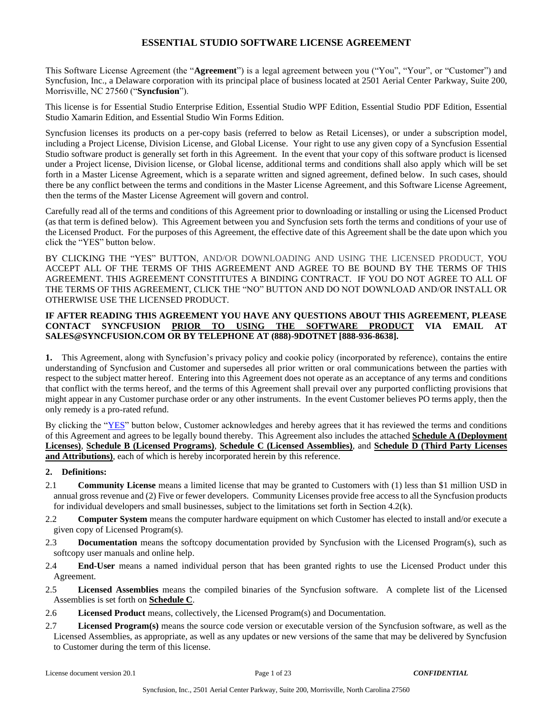This Software License Agreement (the "**Agreement**") is a legal agreement between you ("You", "Your", or "Customer") and Syncfusion, Inc., a Delaware corporation with its principal place of business located at 2501 Aerial Center Parkway, Suite 200, Morrisville, NC 27560 ("**Syncfusion**").

This license is for Essential Studio Enterprise Edition, Essential Studio WPF Edition, Essential Studio PDF Edition, Essential Studio Xamarin Edition, and Essential Studio Win Forms Edition.

Syncfusion licenses its products on a per-copy basis (referred to below as Retail Licenses), or under a subscription model, including a Project License, Division License, and Global License. Your right to use any given copy of a Syncfusion Essential Studio software product is generally set forth in this Agreement. In the event that your copy of this software product is licensed under a Project license, Division license, or Global license, additional terms and conditions shall also apply which will be set forth in a Master License Agreement, which is a separate written and signed agreement, defined below. In such cases, should there be any conflict between the terms and conditions in the Master License Agreement, and this Software License Agreement, then the terms of the Master License Agreement will govern and control.

Carefully read all of the terms and conditions of this Agreement prior to downloading or installing or using the Licensed Product (as that term is defined below). This Agreement between you and Syncfusion sets forth the terms and conditions of your use of the Licensed Product. For the purposes of this Agreement, the effective date of this Agreement shall be the date upon which you click the "YES" button below.

BY CLICKING THE "YES" BUTTON, AND/OR DOWNLOADING AND USING THE LICENSED PRODUCT, YOU ACCEPT ALL OF THE TERMS OF THIS AGREEMENT AND AGREE TO BE BOUND BY THE TERMS OF THIS AGREEMENT. THIS AGREEMENT CONSTITUTES A BINDING CONTRACT. IF YOU DO NOT AGREE TO ALL OF THE TERMS OF THIS AGREEMENT, CLICK THE "NO" BUTTON AND DO NOT DOWNLOAD AND/OR INSTALL OR OTHERWISE USE THE LICENSED PRODUCT.

#### **IF AFTER READING THIS AGREEMENT YOU HAVE ANY QUESTIONS ABOUT THIS AGREEMENT, PLEASE CONTACT SYNCFUSION PRIOR TO USING THE SOFTWARE PRODUCT VIA EMAIL AT SALES@SYNCFUSION.COM OR BY TELEPHONE AT (888)-9DOTNET [888-936-8638].**

**1.** This Agreement, along with Syncfusion's privacy policy and cookie policy (incorporated by reference), contains the entire understanding of Syncfusion and Customer and supersedes all prior written or oral communications between the parties with respect to the subject matter hereof. Entering into this Agreement does not operate as an acceptance of any terms and conditions that conflict with the terms hereof, and the terms of this Agreement shall prevail over any purported conflicting provisions that might appear in any Customer purchase order or any other instruments. In the event Customer believes PO terms apply, then the only remedy is a pro-rated refund.

By clicking the "YES" button below, Customer acknowledges and hereby agrees that it has reviewed the terms and conditions of this Agreement and agrees to be legally bound thereby. This Agreement also includes the attached **Schedule A (Deployment Licenses)**, **Schedule B (Licensed Programs)**, **Schedule C (Licensed Assemblies)**, and **Schedule D (Third Party Licenses and Attributions)**, each of which is hereby incorporated herein by this reference.

#### **2. Definitions:**

- 2.1 **Community License** means a limited license that may be granted to Customers with (1) less than \$1 million USD in annual gross revenue and (2) Five or fewer developers. Community Licenses provide free access to all the Syncfusion products for individual developers and small businesses, subject to the limitations set forth in Section 4.2(k).
- 2.2 **Computer System** means the computer hardware equipment on which Customer has elected to install and/or execute a given copy of Licensed Program(s).
- 2.3 **Documentation** means the softcopy documentation provided by Syncfusion with the Licensed Program(s), such as softcopy user manuals and online help.
- 2.4 **End-User** means a named individual person that has been granted rights to use the Licensed Product under this Agreement.
- 2.5 **Licensed Assemblies** means the compiled binaries of the Syncfusion software. A complete list of the Licensed Assemblies is set forth on **Schedule C**.
- 2.6 **Licensed Product** means, collectively, the Licensed Program(s) and Documentation.
- 2.7 **Licensed Program(s)** means the source code version or executable version of the Syncfusion software, as well as the Licensed Assemblies, as appropriate, as well as any updates or new versions of the same that may be delivered by Syncfusion to Customer during the term of this license.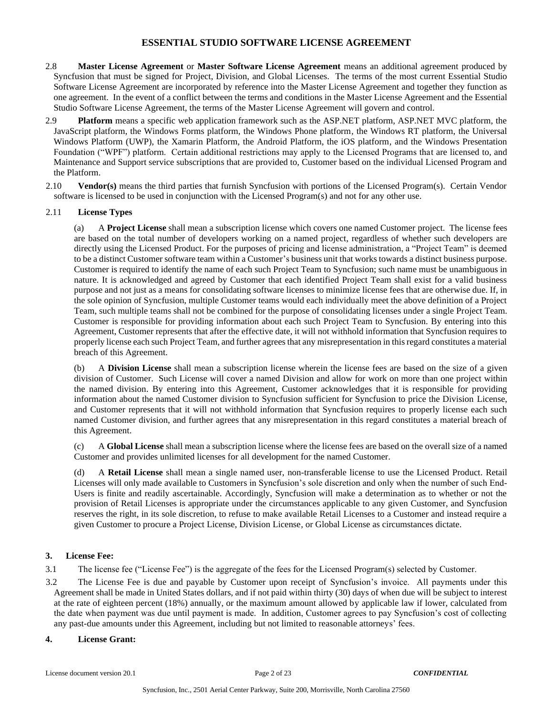- 2.8 **Master License Agreement** or **Master Software License Agreement** means an additional agreement produced by Syncfusion that must be signed for Project, Division, and Global Licenses. The terms of the most current Essential Studio Software License Agreement are incorporated by reference into the Master License Agreement and together they function as one agreement. In the event of a conflict between the terms and conditions in the Master License Agreement and the Essential Studio Software License Agreement, the terms of the Master License Agreement will govern and control.
- 2.9 **Platform** means a specific web application framework such as the ASP.NET platform, ASP.NET MVC platform, the JavaScript platform, the Windows Forms platform, the Windows Phone platform, the Windows RT platform, the Universal Windows Platform (UWP), the Xamarin Platform, the Android Platform, the iOS platform, and the Windows Presentation Foundation ("WPF") platform. Certain additional restrictions may apply to the Licensed Programs that are licensed to, and Maintenance and Support service subscriptions that are provided to, Customer based on the individual Licensed Program and the Platform.
- 2.10 **Vendor(s)** means the third parties that furnish Syncfusion with portions of the Licensed Program(s). Certain Vendor software is licensed to be used in conjunction with the Licensed Program(s) and not for any other use.

### 2.11 **License Types**

(a) A **Project License** shall mean a subscription license which covers one named Customer project. The license fees are based on the total number of developers working on a named project, regardless of whether such developers are directly using the Licensed Product. For the purposes of pricing and license administration, a "Project Team" is deemed to be a distinct Customer software team within a Customer's business unit that works towards a distinct business purpose. Customer is required to identify the name of each such Project Team to Syncfusion; such name must be unambiguous in nature. It is acknowledged and agreed by Customer that each identified Project Team shall exist for a valid business purpose and not just as a means for consolidating software licenses to minimize license fees that are otherwise due. If, in the sole opinion of Syncfusion, multiple Customer teams would each individually meet the above definition of a Project Team, such multiple teams shall not be combined for the purpose of consolidating licenses under a single Project Team. Customer is responsible for providing information about each such Project Team to Syncfusion. By entering into this Agreement, Customer represents that after the effective date, it will not withhold information that Syncfusion requires to properly license each such Project Team, and further agrees that any misrepresentation in this regard constitutes a material breach of this Agreement.

(b) A **Division License** shall mean a subscription license wherein the license fees are based on the size of a given division of Customer. Such License will cover a named Division and allow for work on more than one project within the named division. By entering into this Agreement, Customer acknowledges that it is responsible for providing information about the named Customer division to Syncfusion sufficient for Syncfusion to price the Division License, and Customer represents that it will not withhold information that Syncfusion requires to properly license each such named Customer division, and further agrees that any misrepresentation in this regard constitutes a material breach of this Agreement.

(c) A **Global License** shall mean a subscription license where the license fees are based on the overall size of a named Customer and provides unlimited licenses for all development for the named Customer.

(d) A **Retail License** shall mean a single named user, non-transferable license to use the Licensed Product. Retail Licenses will only made available to Customers in Syncfusion's sole discretion and only when the number of such End-Users is finite and readily ascertainable. Accordingly, Syncfusion will make a determination as to whether or not the provision of Retail Licenses is appropriate under the circumstances applicable to any given Customer, and Syncfusion reserves the right, in its sole discretion, to refuse to make available Retail Licenses to a Customer and instead require a given Customer to procure a Project License, Division License, or Global License as circumstances dictate.

## **3. License Fee:**

3.1 The license fee ("License Fee") is the aggregate of the fees for the Licensed Program(s) selected by Customer.

3.2 The License Fee is due and payable by Customer upon receipt of Syncfusion's invoice. All payments under this Agreement shall be made in United States dollars, and if not paid within thirty (30) days of when due will be subject to interest at the rate of eighteen percent (18%) annually, or the maximum amount allowed by applicable law if lower, calculated from the date when payment was due until payment is made. In addition, Customer agrees to pay Syncfusion's cost of collecting any past-due amounts under this Agreement, including but not limited to reasonable attorneys' fees.

#### **4. License Grant:**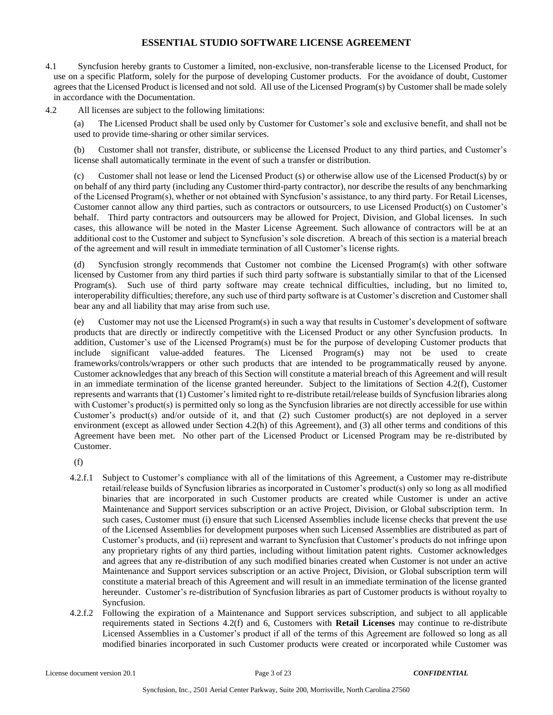- 4.1 Syncfusion hereby grants to Customer a limited, non-exclusive, non-transferable license to the Licensed Product, for use on a specific Platform, solely for the purpose of developing Customer products. For the avoidance of doubt, Customer agrees that the Licensed Product is licensed and not sold. All use of the Licensed Program(s) by Customer shall be made solely in accordance with the Documentation.
- 4.2 All licenses are subject to the following limitations:

(a) The Licensed Product shall be used only by Customer for Customer's sole and exclusive benefit, and shall not be used to provide time-sharing or other similar services.

(b) Customer shall not transfer, distribute, or sublicense the Licensed Product to any third parties, and Customer's license shall automatically terminate in the event of such a transfer or distribution.

(c) Customer shall not lease or lend the Licensed Product (s) or otherwise allow use of the Licensed Product(s) by or on behalf of any third party (including any Customer third-party contractor), nor describe the results of any benchmarking of the Licensed Program(s), whether or not obtained with Syncfusion's assistance, to any third party. For Retail Licenses, Customer cannot allow any third parties, such as contractors or outsourcers, to use Licensed Product(s) on Customer's behalf. Third party contractors and outsourcers may be allowed for Project, Division, and Global licenses. In such cases, this allowance will be noted in the Master License Agreement. Such allowance of contractors will be at an additional cost to the Customer and subject to Syncfusion's sole discretion. A breach of this section is a material breach of the agreement and will result in immediate termination of all Customer's license rights.

(d) Syncfusion strongly recommends that Customer not combine the Licensed Program(s) with other software licensed by Customer from any third parties if such third party software is substantially similar to that of the Licensed Program(s). Such use of third party software may create technical difficulties, including, but no limited to, interoperability difficulties; therefore, any such use of third party software is at Customer's discretion and Customer shall bear any and all liability that may arise from such use.

(e) Customer may not use the Licensed Program(s) in such a way that results in Customer's development of software products that are directly or indirectly competitive with the Licensed Product or any other Syncfusion products. In addition, Customer's use of the Licensed Program(s) must be for the purpose of developing Customer products that include significant value-added features. The Licensed Program(s) may not be used to create frameworks/controls/wrappers or other such products that are intended to be programmatically reused by anyone. Customer acknowledges that any breach of this Section will constitute a material breach of this Agreement and will result in an immediate termination of the license granted hereunder. Subject to the limitations of Section 4.2(f), Customer represents and warrants that (1) Customer's limited right to re-distribute retail/release builds of Syncfusion libraries along with Customer's product(s) is permitted only so long as the Syncfusion libraries are not directly accessible for use within Customer's product(s) and/or outside of it, and that (2) such Customer product(s) are not deployed in a server environment (except as allowed under Section 4.2(h) of this Agreement), and (3) all other terms and conditions of this Agreement have been met. No other part of the Licensed Product or Licensed Program may be re-distributed by Customer.

(f)

- 4.2.f.1 Subject to Customer's compliance with all of the limitations of this Agreement, a Customer may re-distribute retail/release builds of Syncfusion libraries as incorporated in Customer's product(s) only so long as all modified binaries that are incorporated in such Customer products are created while Customer is under an active Maintenance and Support services subscription or an active Project, Division, or Global subscription term. In such cases, Customer must (i) ensure that such Licensed Assemblies include license checks that prevent the use of the Licensed Assemblies for development purposes when such Licensed Assemblies are distributed as part of Customer's products, and (ii) represent and warrant to Syncfusion that Customer's products do not infringe upon any proprietary rights of any third parties, including without limitation patent rights. Customer acknowledges and agrees that any re-distribution of any such modified binaries created when Customer is not under an active Maintenance and Support services subscription or an active Project, Division, or Global subscription term will constitute a material breach of this Agreement and will result in an immediate termination of the license granted hereunder. Customer's re-distribution of Syncfusion libraries as part of Customer products is without royalty to Syncfusion.
- 4.2.f.2 Following the expiration of a Maintenance and Support services subscription, and subject to all applicable requirements stated in Sections 4.2(f) and 6, Customers with **Retail Licenses** may continue to re-distribute Licensed Assemblies in a Customer's product if all of the terms of this Agreement are followed so long as all modified binaries incorporated in such Customer products were created or incorporated while Customer was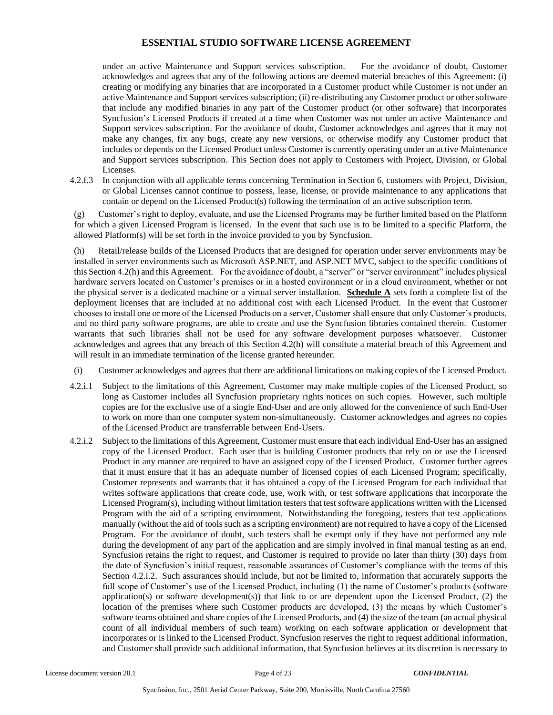under an active Maintenance and Support services subscription. For the avoidance of doubt, Customer acknowledges and agrees that any of the following actions are deemed material breaches of this Agreement: (i) creating or modifying any binaries that are incorporated in a Customer product while Customer is not under an active Maintenance and Support services subscription; (ii) re-distributing any Customer product or other software that include any modified binaries in any part of the Customer product (or other software) that incorporates Syncfusion's Licensed Products if created at a time when Customer was not under an active Maintenance and Support services subscription. For the avoidance of doubt, Customer acknowledges and agrees that it may not make any changes, fix any bugs, create any new versions, or otherwise modify any Customer product that includes or depends on the Licensed Product unless Customer is currently operating under an active Maintenance and Support services subscription. This Section does not apply to Customers with Project, Division, or Global Licenses.

4.2.f.3 In conjunction with all applicable terms concerning Termination in Section 6, customers with Project, Division, or Global Licenses cannot continue to possess, lease, license, or provide maintenance to any applications that contain or depend on the Licensed Product(s) following the termination of an active subscription term.

(g) Customer's right to deploy, evaluate, and use the Licensed Programs may be further limited based on the Platform for which a given Licensed Program is licensed. In the event that such use is to be limited to a specific Platform, the allowed Platform(s) will be set forth in the invoice provided to you by Syncfusion.

(h) Retail/release builds of the Licensed Products that are designed for operation under server environments may be installed in server environments such as Microsoft ASP.NET, and ASP.NET MVC, subject to the specific conditions of this Section 4.2(h) and this Agreement. For the avoidance of doubt, a "server" or "server environment" includes physical hardware servers located on Customer's premises or in a hosted environment or in a cloud environment, whether or not the physical server is a dedicated machine or a virtual server installation. **Schedule A** sets forth a complete list of the deployment licenses that are included at no additional cost with each Licensed Product. In the event that Customer chooses to install one or more of the Licensed Products on a server, Customer shall ensure that only Customer's products, and no third party software programs, are able to create and use the Syncfusion libraries contained therein. Customer warrants that such libraries shall not be used for any software development purposes whatsoever. Customer acknowledges and agrees that any breach of this Section 4.2(h) will constitute a material breach of this Agreement and will result in an immediate termination of the license granted hereunder.

- (i) Customer acknowledges and agrees that there are additional limitations on making copies of the Licensed Product.
- 4.2.i.1 Subject to the limitations of this Agreement, Customer may make multiple copies of the Licensed Product, so long as Customer includes all Syncfusion proprietary rights notices on such copies. However, such multiple copies are for the exclusive use of a single End-User and are only allowed for the convenience of such End-User to work on more than one computer system non-simultaneously. Customer acknowledges and agrees no copies of the Licensed Product are transferrable between End-Users.
- 4.2.i.2 Subject to the limitations of this Agreement, Customer must ensure that each individual End-User has an assigned copy of the Licensed Product. Each user that is building Customer products that rely on or use the Licensed Product in any manner are required to have an assigned copy of the Licensed Product. Customer further agrees that it must ensure that it has an adequate number of licensed copies of each Licensed Program; specifically, Customer represents and warrants that it has obtained a copy of the Licensed Program for each individual that writes software applications that create code, use, work with, or test software applications that incorporate the Licensed Program(s), including without limitation testers that test software applications written with the Licensed Program with the aid of a scripting environment. Notwithstanding the foregoing, testers that test applications manually (without the aid of tools such as a scripting environment) are not required to have a copy of the Licensed Program. For the avoidance of doubt, such testers shall be exempt only if they have not performed any role during the development of any part of the application and are simply involved in final manual testing as an end. Syncfusion retains the right to request, and Customer is required to provide no later than thirty (30) days from the date of Syncfusion's initial request, reasonable assurances of Customer's compliance with the terms of this Section 4.2.i.2. Such assurances should include, but not be limited to, information that accurately supports the full scope of Customer's use of the Licensed Product, including (1) the name of Customer's products (software application(s) or software development(s)) that link to or are dependent upon the Licensed Product, (2) the location of the premises where such Customer products are developed, (3) the means by which Customer's software teams obtained and share copies of the Licensed Products, and (4) the size of the team (an actual physical count of all individual members of such team) working on each software application or development that incorporates or is linked to the Licensed Product. Syncfusion reserves the right to request additional information, and Customer shall provide such additional information, that Syncfusion believes at its discretion is necessary to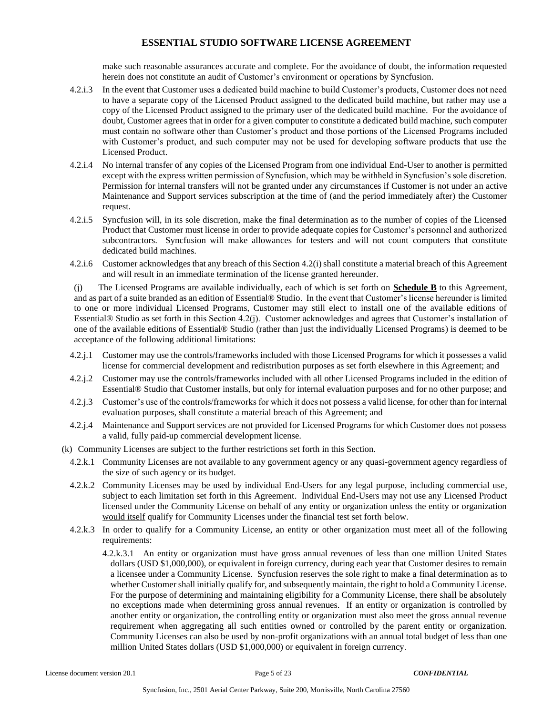make such reasonable assurances accurate and complete. For the avoidance of doubt, the information requested herein does not constitute an audit of Customer's environment or operations by Syncfusion.

- 4.2.i.3 In the event that Customer uses a dedicated build machine to build Customer's products, Customer does not need to have a separate copy of the Licensed Product assigned to the dedicated build machine, but rather may use a copy of the Licensed Product assigned to the primary user of the dedicated build machine. For the avoidance of doubt, Customer agrees that in order for a given computer to constitute a dedicated build machine, such computer must contain no software other than Customer's product and those portions of the Licensed Programs included with Customer's product, and such computer may not be used for developing software products that use the Licensed Product.
- 4.2.i.4 No internal transfer of any copies of the Licensed Program from one individual End-User to another is permitted except with the express written permission of Syncfusion, which may be withheld in Syncfusion's sole discretion. Permission for internal transfers will not be granted under any circumstances if Customer is not under an active Maintenance and Support services subscription at the time of (and the period immediately after) the Customer request.
- 4.2.i.5 Syncfusion will, in its sole discretion, make the final determination as to the number of copies of the Licensed Product that Customer must license in order to provide adequate copies for Customer's personnel and authorized subcontractors. Syncfusion will make allowances for testers and will not count computers that constitute dedicated build machines.
- 4.2.i.6 Customer acknowledges that any breach of this Section 4.2(i) shall constitute a material breach of this Agreement and will result in an immediate termination of the license granted hereunder.

(j) The Licensed Programs are available individually, each of which is set forth on **Schedule B** to this Agreement, and as part of a suite branded as an edition of Essential® Studio. In the event that Customer's license hereunder is limited to one or more individual Licensed Programs, Customer may still elect to install one of the available editions of Essential® Studio as set forth in this Section 4.2(j). Customer acknowledges and agrees that Customer's installation of one of the available editions of Essential® Studio (rather than just the individually Licensed Programs) is deemed to be acceptance of the following additional limitations:

- 4.2.j.1 Customer may use the controls/frameworks included with those Licensed Programs for which it possesses a valid license for commercial development and redistribution purposes as set forth elsewhere in this Agreement; and
- 4.2.j.2 Customer may use the controls/frameworks included with all other Licensed Programs included in the edition of Essential® Studio that Customer installs, but only for internal evaluation purposes and for no other purpose; and
- 4.2.j.3 Customer's use of the controls/frameworks for which it does not possess a valid license, for other than for internal evaluation purposes, shall constitute a material breach of this Agreement; and
- 4.2.j.4 Maintenance and Support services are not provided for Licensed Programs for which Customer does not possess a valid, fully paid-up commercial development license.
- (k) Community Licenses are subject to the further restrictions set forth in this Section.
	- 4.2.k.1 Community Licenses are not available to any government agency or any quasi-government agency regardless of the size of such agency or its budget.
	- 4.2.k.2 Community Licenses may be used by individual End-Users for any legal purpose, including commercial use, subject to each limitation set forth in this Agreement. Individual End-Users may not use any Licensed Product licensed under the Community License on behalf of any entity or organization unless the entity or organization would itself qualify for Community Licenses under the financial test set forth below.
	- 4.2.k.3 In order to qualify for a Community License, an entity or other organization must meet all of the following requirements:
		- 4.2.k.3.1 An entity or organization must have gross annual revenues of less than one million United States dollars (USD \$1,000,000), or equivalent in foreign currency, during each year that Customer desires to remain a licensee under a Community License. Syncfusion reserves the sole right to make a final determination as to whether Customer shall initially qualify for, and subsequently maintain, the right to hold a Community License. For the purpose of determining and maintaining eligibility for a Community License, there shall be absolutely no exceptions made when determining gross annual revenues. If an entity or organization is controlled by another entity or organization, the controlling entity or organization must also meet the gross annual revenue requirement when aggregating all such entities owned or controlled by the parent entity or organization. Community Licenses can also be used by non-profit organizations with an annual total budget of less than one million United States dollars (USD \$1,000,000) or equivalent in foreign currency.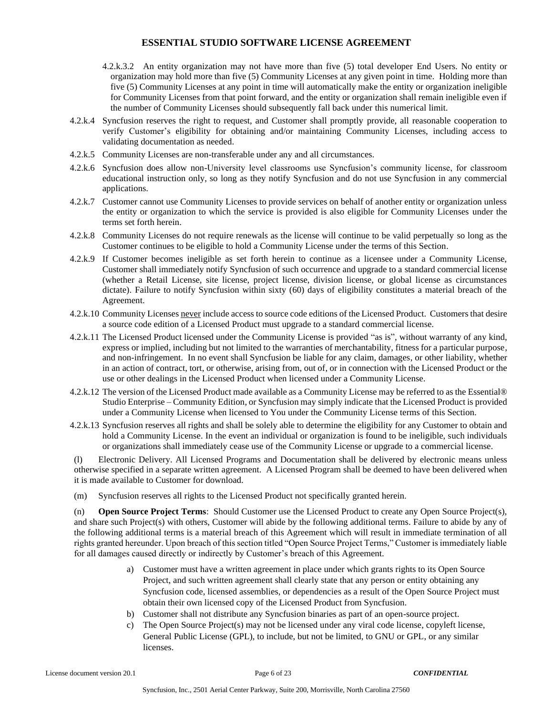- 4.2.k.3.2 An entity organization may not have more than five (5) total developer End Users. No entity or organization may hold more than five (5) Community Licenses at any given point in time. Holding more than five (5) Community Licenses at any point in time will automatically make the entity or organization ineligible for Community Licenses from that point forward, and the entity or organization shall remain ineligible even if the number of Community Licenses should subsequently fall back under this numerical limit.
- 4.2.k.4 Syncfusion reserves the right to request, and Customer shall promptly provide, all reasonable cooperation to verify Customer's eligibility for obtaining and/or maintaining Community Licenses, including access to validating documentation as needed.
- 4.2.k.5 Community Licenses are non-transferable under any and all circumstances.
- 4.2.k.6 Syncfusion does allow non-University level classrooms use Syncfusion's community license, for classroom educational instruction only, so long as they notify Syncfusion and do not use Syncfusion in any commercial applications.
- 4.2.k.7 Customer cannot use Community Licenses to provide services on behalf of another entity or organization unless the entity or organization to which the service is provided is also eligible for Community Licenses under the terms set forth herein.
- 4.2.k.8 Community Licenses do not require renewals as the license will continue to be valid perpetually so long as the Customer continues to be eligible to hold a Community License under the terms of this Section.
- 4.2.k.9 If Customer becomes ineligible as set forth herein to continue as a licensee under a Community License, Customer shall immediately notify Syncfusion of such occurrence and upgrade to a standard commercial license (whether a Retail License, site license, project license, division license, or global license as circumstances dictate). Failure to notify Syncfusion within sixty (60) days of eligibility constitutes a material breach of the Agreement.
- 4.2.k.10 Community Licenses never include access to source code editions of the Licensed Product. Customers that desire a source code edition of a Licensed Product must upgrade to a standard commercial license.
- 4.2.k.11 The Licensed Product licensed under the Community License is provided "as is", without warranty of any kind, express or implied, including but not limited to the warranties of merchantability, fitness for a particular purpose, and non-infringement. In no event shall Syncfusion be liable for any claim, damages, or other liability, whether in an action of contract, tort, or otherwise, arising from, out of, or in connection with the Licensed Product or the use or other dealings in the Licensed Product when licensed under a Community License.
- 4.2.k.12 The version of the Licensed Product made available as a Community License may be referred to as the Essential® Studio Enterprise – Community Edition, or Syncfusion may simply indicate that the Licensed Product is provided under a Community License when licensed to You under the Community License terms of this Section.
- 4.2.k.13 Syncfusion reserves all rights and shall be solely able to determine the eligibility for any Customer to obtain and hold a Community License. In the event an individual or organization is found to be ineligible, such individuals or organizations shall immediately cease use of the Community License or upgrade to a commercial license.

(l) Electronic Delivery. All Licensed Programs and Documentation shall be delivered by electronic means unless otherwise specified in a separate written agreement. A Licensed Program shall be deemed to have been delivered when it is made available to Customer for download.

(m) Syncfusion reserves all rights to the Licensed Product not specifically granted herein.

(n) **Open Source Project Terms**: Should Customer use the Licensed Product to create any Open Source Project(s), and share such Project(s) with others, Customer will abide by the following additional terms. Failure to abide by any of the following additional terms is a material breach of this Agreement which will result in immediate termination of all rights granted hereunder. Upon breach of this section titled "Open Source Project Terms," Customer is immediately liable for all damages caused directly or indirectly by Customer's breach of this Agreement.

- a) Customer must have a written agreement in place under which grants rights to its Open Source Project, and such written agreement shall clearly state that any person or entity obtaining any Syncfusion code, licensed assemblies, or dependencies as a result of the Open Source Project must obtain their own licensed copy of the Licensed Product from Syncfusion.
- b) Customer shall not distribute any Syncfusion binaries as part of an open-source project.
- c) The Open Source Project(s) may not be licensed under any viral code license, copyleft license, General Public License (GPL), to include, but not be limited, to GNU or GPL, or any similar licenses.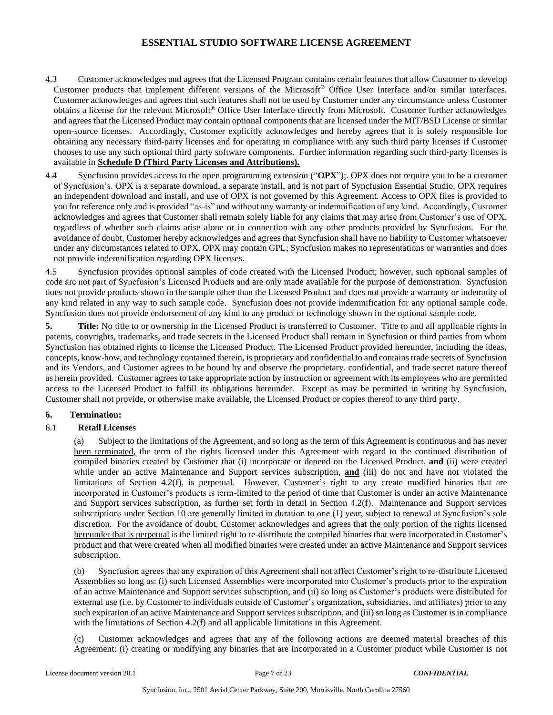- 4.3 Customer acknowledges and agrees that the Licensed Program contains certain features that allow Customer to develop Customer products that implement different versions of the Microsoft® Office User Interface and/or similar interfaces. Customer acknowledges and agrees that such features shall not be used by Customer under any circumstance unless Customer obtains a license for the relevant Microsoft® Office User Interface directly from Microsoft. Customer further acknowledges and agrees that the Licensed Product may contain optional components that are licensed under the MIT/BSD License or similar open-source licenses. Accordingly, Customer explicitly acknowledges and hereby agrees that it is solely responsible for obtaining any necessary third-party licenses and for operating in compliance with any such third party licenses if Customer chooses to use any such optional third party software components. Further information regarding such third-party licenses is available in **Schedule D (Third Party Licenses and Attributions).**
- 4.4 Syncfusion provides access to the open programming extension ("**OPX**");. OPX does not require you to be a customer of Syncfusion's. OPX is a separate download, a separate install, and is not part of Syncfusion Essential Studio. OPX requires an independent download and install, and use of OPX is not governed by this Agreement. Access to OPX files is provided to you for reference only and is provided "as-is" and without any warranty or indemnification of any kind. Accordingly, Customer acknowledges and agrees that Customer shall remain solely liable for any claims that may arise from Customer's use of OPX, regardless of whether such claims arise alone or in connection with any other products provided by Syncfusion. For the avoidance of doubt, Customer hereby acknowledges and agrees that Syncfusion shall have no liability to Customer whatsoever under any circumstances related to OPX. OPX may contain GPL; Syncfusion makes no representations or warranties and does not provide indemnification regarding OPX licenses.

4.5 Syncfusion provides optional samples of code created with the Licensed Product; however, such optional samples of code are not part of Syncfusion's Licensed Products and are only made available for the purpose of demonstration. Syncfusion does not provide products shown in the sample other than the Licensed Product and does not provide a warranty or indemnity of any kind related in any way to such sample code. Syncfusion does not provide indemnification for any optional sample code. Syncfusion does not provide endorsement of any kind to any product or technology shown in the optional sample code.

**5. Title:** No title to or ownership in the Licensed Product is transferred to Customer. Title to and all applicable rights in patents, copyrights, trademarks, and trade secrets in the Licensed Product shall remain in Syncfusion or third parties from whom Syncfusion has obtained rights to license the Licensed Product. The Licensed Product provided hereunder, including the ideas, concepts, know-how, and technology contained therein, is proprietary and confidential to and contains trade secrets of Syncfusion and its Vendors, and Customer agrees to be bound by and observe the proprietary, confidential, and trade secret nature thereof as herein provided. Customer agrees to take appropriate action by instruction or agreement with its employees who are permitted access to the Licensed Product to fulfill its obligations hereunder. Except as may be permitted in writing by Syncfusion, Customer shall not provide, or otherwise make available, the Licensed Product or copies thereof to any third party.

## **6. Termination:**

## 6.1 **Retail Licenses**

(a) Subject to the limitations of the Agreement, and so long as the term of this Agreement is continuous and has never been terminated, the term of the rights licensed under this Agreement with regard to the continued distribution of compiled binaries created by Customer that (i) incorporate or depend on the Licensed Product, **and** (ii) were created while under an active Maintenance and Support services subscription, **and** (iii) do not and have not violated the limitations of Section 4.2(f), is perpetual. However, Customer's right to any create modified binaries that are incorporated in Customer's products is term-limited to the period of time that Customer is under an active Maintenance and Support services subscription, as further set forth in detail in Section 4.2(f). Maintenance and Support services subscriptions under Section 10 are generally limited in duration to one (1) year, subject to renewal at Syncfusion's sole discretion. For the avoidance of doubt, Customer acknowledges and agrees that the only portion of the rights licensed hereunder that is perpetual is the limited right to re-distribute the compiled binaries that were incorporated in Customer's product and that were created when all modified binaries were created under an active Maintenance and Support services subscription.

Syncfusion agrees that any expiration of this Agreement shall not affect Customer's right to re-distribute Licensed Assemblies so long as: (i) such Licensed Assemblies were incorporated into Customer's products prior to the expiration of an active Maintenance and Support services subscription, and (ii) so long as Customer's products were distributed for external use (i.e. by Customer to individuals outside of Customer's organization, subsidiaries, and affiliates) prior to any such expiration of an active Maintenance and Support services subscription, and (iii) so long as Customer is in compliance with the limitations of Section 4.2(f) and all applicable limitations in this Agreement.

(c) Customer acknowledges and agrees that any of the following actions are deemed material breaches of this Agreement: (i) creating or modifying any binaries that are incorporated in a Customer product while Customer is not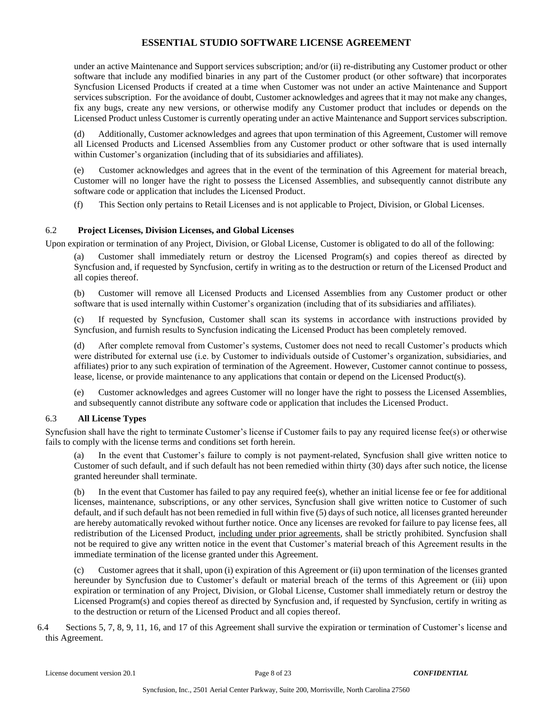under an active Maintenance and Support services subscription; and/or (ii) re-distributing any Customer product or other software that include any modified binaries in any part of the Customer product (or other software) that incorporates Syncfusion Licensed Products if created at a time when Customer was not under an active Maintenance and Support services subscription. For the avoidance of doubt, Customer acknowledges and agrees that it may not make any changes, fix any bugs, create any new versions, or otherwise modify any Customer product that includes or depends on the Licensed Product unless Customer is currently operating under an active Maintenance and Support services subscription.

(d) Additionally, Customer acknowledges and agrees that upon termination of this Agreement, Customer will remove all Licensed Products and Licensed Assemblies from any Customer product or other software that is used internally within Customer's organization (including that of its subsidiaries and affiliates).

(e) Customer acknowledges and agrees that in the event of the termination of this Agreement for material breach, Customer will no longer have the right to possess the Licensed Assemblies, and subsequently cannot distribute any software code or application that includes the Licensed Product.

(f) This Section only pertains to Retail Licenses and is not applicable to Project, Division, or Global Licenses.

### 6.2 **Project Licenses, Division Licenses, and Global Licenses**

Upon expiration or termination of any Project, Division, or Global License, Customer is obligated to do all of the following:

(a) Customer shall immediately return or destroy the Licensed Program(s) and copies thereof as directed by Syncfusion and, if requested by Syncfusion, certify in writing as to the destruction or return of the Licensed Product and all copies thereof.

(b) Customer will remove all Licensed Products and Licensed Assemblies from any Customer product or other software that is used internally within Customer's organization (including that of its subsidiaries and affiliates).

(c) If requested by Syncfusion, Customer shall scan its systems in accordance with instructions provided by Syncfusion, and furnish results to Syncfusion indicating the Licensed Product has been completely removed.

(d) After complete removal from Customer's systems, Customer does not need to recall Customer's products which were distributed for external use (i.e. by Customer to individuals outside of Customer's organization, subsidiaries, and affiliates) prior to any such expiration of termination of the Agreement. However, Customer cannot continue to possess, lease, license, or provide maintenance to any applications that contain or depend on the Licensed Product(s).

(e) Customer acknowledges and agrees Customer will no longer have the right to possess the Licensed Assemblies, and subsequently cannot distribute any software code or application that includes the Licensed Product.

#### 6.3 **All License Types**

Syncfusion shall have the right to terminate Customer's license if Customer fails to pay any required license fee(s) or otherwise fails to comply with the license terms and conditions set forth herein.

In the event that Customer's failure to comply is not payment-related, Syncfusion shall give written notice to Customer of such default, and if such default has not been remedied within thirty (30) days after such notice, the license granted hereunder shall terminate.

(b) In the event that Customer has failed to pay any required fee(s), whether an initial license fee or fee for additional licenses, maintenance, subscriptions, or any other services, Syncfusion shall give written notice to Customer of such default, and if such default has not been remedied in full within five (5) days of such notice, all licenses granted hereunder are hereby automatically revoked without further notice. Once any licenses are revoked for failure to pay license fees, all redistribution of the Licensed Product, including under prior agreements, shall be strictly prohibited. Syncfusion shall not be required to give any written notice in the event that Customer's material breach of this Agreement results in the immediate termination of the license granted under this Agreement.

(c) Customer agrees that it shall, upon (i) expiration of this Agreement or (ii) upon termination of the licenses granted hereunder by Syncfusion due to Customer's default or material breach of the terms of this Agreement or (iii) upon expiration or termination of any Project, Division, or Global License, Customer shall immediately return or destroy the Licensed Program(s) and copies thereof as directed by Syncfusion and, if requested by Syncfusion, certify in writing as to the destruction or return of the Licensed Product and all copies thereof.

6.4 Sections 5, 7, 8, 9, 11, 16, and 17 of this Agreement shall survive the expiration or termination of Customer's license and this Agreement.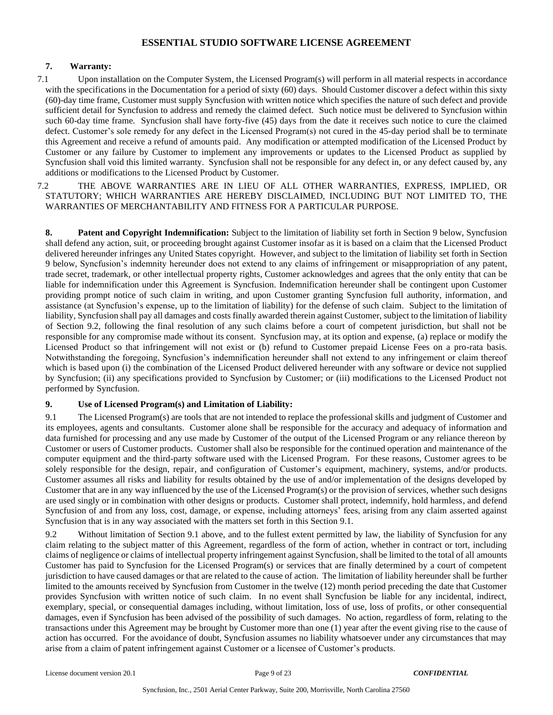### **7. Warranty:**

7.1 Upon installation on the Computer System, the Licensed Program(s) will perform in all material respects in accordance with the specifications in the Documentation for a period of sixty (60) days. Should Customer discover a defect within this sixty (60)-day time frame, Customer must supply Syncfusion with written notice which specifies the nature of such defect and provide sufficient detail for Syncfusion to address and remedy the claimed defect. Such notice must be delivered to Syncfusion within such 60-day time frame. Syncfusion shall have forty-five (45) days from the date it receives such notice to cure the claimed defect. Customer's sole remedy for any defect in the Licensed Program(s) not cured in the 45-day period shall be to terminate this Agreement and receive a refund of amounts paid. Any modification or attempted modification of the Licensed Product by Customer or any failure by Customer to implement any improvements or updates to the Licensed Product as supplied by Syncfusion shall void this limited warranty. Syncfusion shall not be responsible for any defect in, or any defect caused by, any additions or modifications to the Licensed Product by Customer.

7.2 THE ABOVE WARRANTIES ARE IN LIEU OF ALL OTHER WARRANTIES, EXPRESS, IMPLIED, OR STATUTORY; WHICH WARRANTIES ARE HEREBY DISCLAIMED, INCLUDING BUT NOT LIMITED TO, THE WARRANTIES OF MERCHANTABILITY AND FITNESS FOR A PARTICULAR PURPOSE.

**8. Patent and Copyright Indemnification:** Subject to the limitation of liability set forth in Section 9 below, Syncfusion shall defend any action, suit, or proceeding brought against Customer insofar as it is based on a claim that the Licensed Product delivered hereunder infringes any United States copyright. However, and subject to the limitation of liability set forth in Section 9 below, Syncfusion's indemnity hereunder does not extend to any claims of infringement or misappropriation of any patent, trade secret, trademark, or other intellectual property rights, Customer acknowledges and agrees that the only entity that can be liable for indemnification under this Agreement is Syncfusion. Indemnification hereunder shall be contingent upon Customer providing prompt notice of such claim in writing, and upon Customer granting Syncfusion full authority, information, and assistance (at Syncfusion's expense, up to the limitation of liability) for the defense of such claim. Subject to the limitation of liability, Syncfusion shall pay all damages and costs finally awarded therein against Customer, subject to the limitation of liability of Section 9.2, following the final resolution of any such claims before a court of competent jurisdiction, but shall not be responsible for any compromise made without its consent. Syncfusion may, at its option and expense, (a) replace or modify the Licensed Product so that infringement will not exist or (b) refund to Customer prepaid License Fees on a pro-rata basis. Notwithstanding the foregoing, Syncfusion's indemnification hereunder shall not extend to any infringement or claim thereof which is based upon (i) the combination of the Licensed Product delivered hereunder with any software or device not supplied by Syncfusion; (ii) any specifications provided to Syncfusion by Customer; or (iii) modifications to the Licensed Product not performed by Syncfusion.

#### **9. Use of Licensed Program(s) and Limitation of Liability:**

9.1 The Licensed Program(s) are tools that are not intended to replace the professional skills and judgment of Customer and its employees, agents and consultants. Customer alone shall be responsible for the accuracy and adequacy of information and data furnished for processing and any use made by Customer of the output of the Licensed Program or any reliance thereon by Customer or users of Customer products. Customer shall also be responsible for the continued operation and maintenance of the computer equipment and the third-party software used with the Licensed Program. For these reasons, Customer agrees to be solely responsible for the design, repair, and configuration of Customer's equipment, machinery, systems, and/or products. Customer assumes all risks and liability for results obtained by the use of and/or implementation of the designs developed by Customer that are in any way influenced by the use of the Licensed Program(s) or the provision of services, whether such designs are used singly or in combination with other designs or products. Customer shall protect, indemnify, hold harmless, and defend Syncfusion of and from any loss, cost, damage, or expense, including attorneys' fees, arising from any claim asserted against Syncfusion that is in any way associated with the matters set forth in this Section 9.1.

9.2 Without limitation of Section 9.1 above, and to the fullest extent permitted by law, the liability of Syncfusion for any claim relating to the subject matter of this Agreement, regardless of the form of action, whether in contract or tort, including claims of negligence or claims of intellectual property infringement against Syncfusion, shall be limited to the total of all amounts Customer has paid to Syncfusion for the Licensed Program(s) or services that are finally determined by a court of competent jurisdiction to have caused damages or that are related to the cause of action. The limitation of liability hereunder shall be further limited to the amounts received by Syncfusion from Customer in the twelve (12) month period preceding the date that Customer provides Syncfusion with written notice of such claim. In no event shall Syncfusion be liable for any incidental, indirect, exemplary, special, or consequential damages including, without limitation, loss of use, loss of profits, or other consequential damages, even if Syncfusion has been advised of the possibility of such damages. No action, regardless of form, relating to the transactions under this Agreement may be brought by Customer more than one (1) year after the event giving rise to the cause of action has occurred. For the avoidance of doubt, Syncfusion assumes no liability whatsoever under any circumstances that may arise from a claim of patent infringement against Customer or a licensee of Customer's products.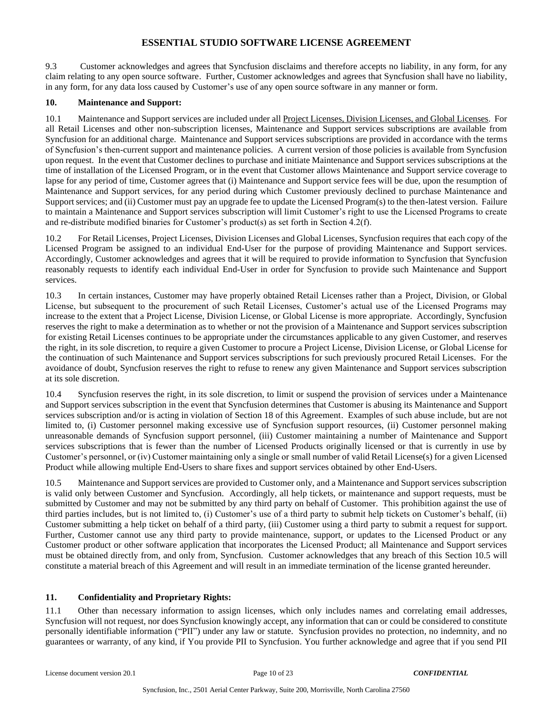9.3 Customer acknowledges and agrees that Syncfusion disclaims and therefore accepts no liability, in any form, for any claim relating to any open source software. Further, Customer acknowledges and agrees that Syncfusion shall have no liability, in any form, for any data loss caused by Customer's use of any open source software in any manner or form.

#### **10. Maintenance and Support:**

10.1 Maintenance and Support services are included under all Project Licenses, Division Licenses, and Global Licenses. For all Retail Licenses and other non-subscription licenses, Maintenance and Support services subscriptions are available from Syncfusion for an additional charge. Maintenance and Support services subscriptions are provided in accordance with the terms of Syncfusion's then-current support and maintenance policies. A current version of those policies is available from Syncfusion upon request. In the event that Customer declines to purchase and initiate Maintenance and Support services subscriptions at the time of installation of the Licensed Program, or in the event that Customer allows Maintenance and Support service coverage to lapse for any period of time, Customer agrees that (i) Maintenance and Support service fees will be due, upon the resumption of Maintenance and Support services, for any period during which Customer previously declined to purchase Maintenance and Support services; and (ii) Customer must pay an upgrade fee to update the Licensed Program(s) to the then-latest version. Failure to maintain a Maintenance and Support services subscription will limit Customer's right to use the Licensed Programs to create and re-distribute modified binaries for Customer's product(s) as set forth in Section 4.2(f).

10.2 For Retail Licenses, Project Licenses, Division Licenses and Global Licenses, Syncfusion requires that each copy of the Licensed Program be assigned to an individual End-User for the purpose of providing Maintenance and Support services. Accordingly, Customer acknowledges and agrees that it will be required to provide information to Syncfusion that Syncfusion reasonably requests to identify each individual End-User in order for Syncfusion to provide such Maintenance and Support services.

10.3 In certain instances, Customer may have properly obtained Retail Licenses rather than a Project, Division, or Global License, but subsequent to the procurement of such Retail Licenses, Customer's actual use of the Licensed Programs may increase to the extent that a Project License, Division License, or Global License is more appropriate. Accordingly, Syncfusion reserves the right to make a determination as to whether or not the provision of a Maintenance and Support services subscription for existing Retail Licenses continues to be appropriate under the circumstances applicable to any given Customer, and reserves the right, in its sole discretion, to require a given Customer to procure a Project License, Division License, or Global License for the continuation of such Maintenance and Support services subscriptions for such previously procured Retail Licenses. For the avoidance of doubt, Syncfusion reserves the right to refuse to renew any given Maintenance and Support services subscription at its sole discretion.

10.4 Syncfusion reserves the right, in its sole discretion, to limit or suspend the provision of services under a Maintenance and Support services subscription in the event that Syncfusion determines that Customer is abusing its Maintenance and Support services subscription and/or is acting in violation of Section 18 of this Agreement. Examples of such abuse include, but are not limited to, (i) Customer personnel making excessive use of Syncfusion support resources, (ii) Customer personnel making unreasonable demands of Syncfusion support personnel, (iii) Customer maintaining a number of Maintenance and Support services subscriptions that is fewer than the number of Licensed Products originally licensed or that is currently in use by Customer's personnel, or (iv) Customer maintaining only a single or small number of valid Retail License(s) for a given Licensed Product while allowing multiple End-Users to share fixes and support services obtained by other End-Users.

10.5 Maintenance and Support services are provided to Customer only, and a Maintenance and Support services subscription is valid only between Customer and Syncfusion. Accordingly, all help tickets, or maintenance and support requests, must be submitted by Customer and may not be submitted by any third party on behalf of Customer. This prohibition against the use of third parties includes, but is not limited to, (i) Customer's use of a third party to submit help tickets on Customer's behalf, (ii) Customer submitting a help ticket on behalf of a third party, (iii) Customer using a third party to submit a request for support. Further, Customer cannot use any third party to provide maintenance, support, or updates to the Licensed Product or any Customer product or other software application that incorporates the Licensed Product; all Maintenance and Support services must be obtained directly from, and only from, Syncfusion. Customer acknowledges that any breach of this Section 10.5 will constitute a material breach of this Agreement and will result in an immediate termination of the license granted hereunder.

#### **11. Confidentiality and Proprietary Rights:**

11.1 Other than necessary information to assign licenses, which only includes names and correlating email addresses, Syncfusion will not request, nor does Syncfusion knowingly accept, any information that can or could be considered to constitute personally identifiable information ("PII") under any law or statute. Syncfusion provides no protection, no indemnity, and no guarantees or warranty, of any kind, if You provide PII to Syncfusion. You further acknowledge and agree that if you send PII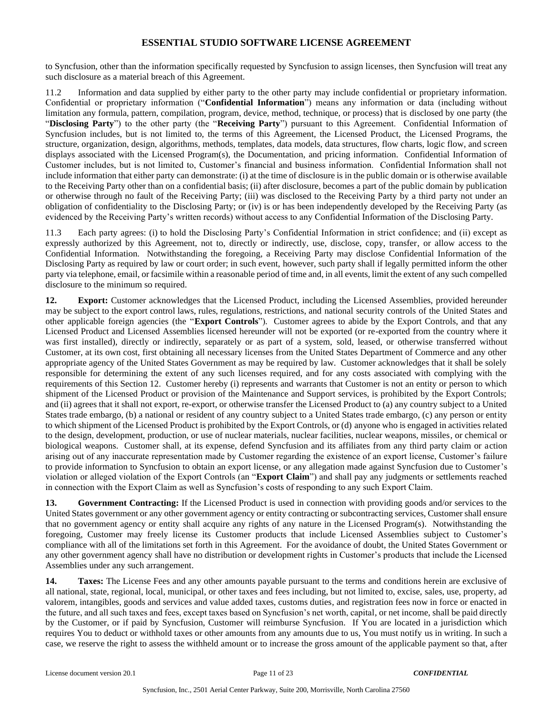to Syncfusion, other than the information specifically requested by Syncfusion to assign licenses, then Syncfusion will treat any such disclosure as a material breach of this Agreement.

11.2 Information and data supplied by either party to the other party may include confidential or proprietary information. Confidential or proprietary information ("**Confidential Information**") means any information or data (including without limitation any formula, pattern, compilation, program, device, method, technique, or process) that is disclosed by one party (the "**Disclosing Party**") to the other party (the "**Receiving Party**") pursuant to this Agreement. Confidential Information of Syncfusion includes, but is not limited to, the terms of this Agreement, the Licensed Product, the Licensed Programs, the structure, organization, design, algorithms, methods, templates, data models, data structures, flow charts, logic flow, and screen displays associated with the Licensed Program(s), the Documentation, and pricing information. Confidential Information of Customer includes, but is not limited to, Customer's financial and business information. Confidential Information shall not include information that either party can demonstrate: (i) at the time of disclosure is in the public domain or is otherwise available to the Receiving Party other than on a confidential basis; (ii) after disclosure, becomes a part of the public domain by publication or otherwise through no fault of the Receiving Party; (iii) was disclosed to the Receiving Party by a third party not under an obligation of confidentiality to the Disclosing Party; or (iv) is or has been independently developed by the Receiving Party (as evidenced by the Receiving Party's written records) without access to any Confidential Information of the Disclosing Party.

11.3 Each party agrees: (i) to hold the Disclosing Party's Confidential Information in strict confidence; and (ii) except as expressly authorized by this Agreement, not to, directly or indirectly, use, disclose, copy, transfer, or allow access to the Confidential Information. Notwithstanding the foregoing, a Receiving Party may disclose Confidential Information of the Disclosing Party as required by law or court order; in such event, however, such party shall if legally permitted inform the other party via telephone, email, or facsimile within a reasonable period of time and, in all events, limit the extent of any such compelled disclosure to the minimum so required.

**12. Export:** Customer acknowledges that the Licensed Product, including the Licensed Assemblies, provided hereunder may be subject to the export control laws, rules, regulations, restrictions, and national security controls of the United States and other applicable foreign agencies (the "**Export Controls**"). Customer agrees to abide by the Export Controls, and that any Licensed Product and Licensed Assemblies licensed hereunder will not be exported (or re-exported from the country where it was first installed), directly or indirectly, separately or as part of a system, sold, leased, or otherwise transferred without Customer, at its own cost, first obtaining all necessary licenses from the United States Department of Commerce and any other appropriate agency of the United States Government as may be required by law. Customer acknowledges that it shall be solely responsible for determining the extent of any such licenses required, and for any costs associated with complying with the requirements of this Section 12. Customer hereby (i) represents and warrants that Customer is not an entity or person to which shipment of the Licensed Product or provision of the Maintenance and Support services, is prohibited by the Export Controls; and (ii) agrees that it shall not export, re-export, or otherwise transfer the Licensed Product to (a) any country subject to a United States trade embargo, (b) a national or resident of any country subject to a United States trade embargo, (c) any person or entity to which shipment of the Licensed Product is prohibited by the Export Controls, or (d) anyone who is engaged in activities related to the design, development, production, or use of nuclear materials, nuclear facilities, nuclear weapons, missiles, or chemical or biological weapons. Customer shall, at its expense, defend Syncfusion and its affiliates from any third party claim or action arising out of any inaccurate representation made by Customer regarding the existence of an export license, Customer's failure to provide information to Syncfusion to obtain an export license, or any allegation made against Syncfusion due to Customer's violation or alleged violation of the Export Controls (an "**Export Claim**") and shall pay any judgments or settlements reached in connection with the Export Claim as well as Syncfusion's costs of responding to any such Export Claim.

**13. Government Contracting:** If the Licensed Product is used in connection with providing goods and/or services to the United States government or any other government agency or entity contracting or subcontracting services, Customer shall ensure that no government agency or entity shall acquire any rights of any nature in the Licensed Program(s). Notwithstanding the foregoing, Customer may freely license its Customer products that include Licensed Assemblies subject to Customer's compliance with all of the limitations set forth in this Agreement. For the avoidance of doubt, the United States Government or any other government agency shall have no distribution or development rights in Customer's products that include the Licensed Assemblies under any such arrangement.

**14. Taxes:** The License Fees and any other amounts payable pursuant to the terms and conditions herein are exclusive of all national, state, regional, local, municipal, or other taxes and fees including, but not limited to, excise, sales, use, property, ad valorem, intangibles, goods and services and value added taxes, customs duties, and registration fees now in force or enacted in the future, and all such taxes and fees, except taxes based on Syncfusion's net worth, capital, or net income, shall be paid directly by the Customer, or if paid by Syncfusion, Customer will reimburse Syncfusion. If You are located in a jurisdiction which requires You to deduct or withhold taxes or other amounts from any amounts due to us, You must notify us in writing. In such a case, we reserve the right to assess the withheld amount or to increase the gross amount of the applicable payment so that, after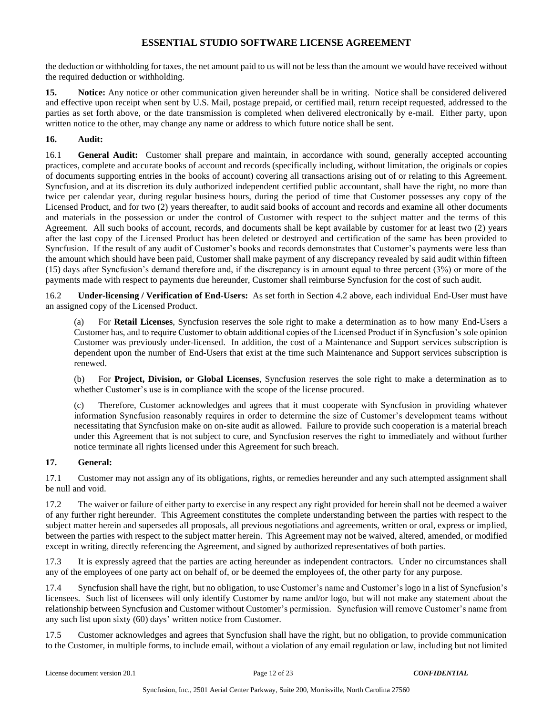the deduction or withholding for taxes, the net amount paid to us will not be less than the amount we would have received without the required deduction or withholding.

**15. Notice:** Any notice or other communication given hereunder shall be in writing. Notice shall be considered delivered and effective upon receipt when sent by U.S. Mail, postage prepaid, or certified mail, return receipt requested, addressed to the parties as set forth above, or the date transmission is completed when delivered electronically by e-mail. Either party, upon written notice to the other, may change any name or address to which future notice shall be sent.

### **16. Audit:**

16.1 **General Audit:** Customer shall prepare and maintain, in accordance with sound, generally accepted accounting practices, complete and accurate books of account and records (specifically including, without limitation, the originals or copies of documents supporting entries in the books of account) covering all transactions arising out of or relating to this Agreement. Syncfusion, and at its discretion its duly authorized independent certified public accountant, shall have the right, no more than twice per calendar year, during regular business hours, during the period of time that Customer possesses any copy of the Licensed Product, and for two (2) years thereafter, to audit said books of account and records and examine all other documents and materials in the possession or under the control of Customer with respect to the subject matter and the terms of this Agreement. All such books of account, records, and documents shall be kept available by customer for at least two (2) years after the last copy of the Licensed Product has been deleted or destroyed and certification of the same has been provided to Syncfusion. If the result of any audit of Customer's books and records demonstrates that Customer's payments were less than the amount which should have been paid, Customer shall make payment of any discrepancy revealed by said audit within fifteen (15) days after Syncfusion's demand therefore and, if the discrepancy is in amount equal to three percent (3%) or more of the payments made with respect to payments due hereunder, Customer shall reimburse Syncfusion for the cost of such audit.

16.2 **Under-licensing / Verification of End-Users:** As set forth in Section 4.2 above, each individual End-User must have an assigned copy of the Licensed Product.

(a) For **Retail Licenses**, Syncfusion reserves the sole right to make a determination as to how many End-Users a Customer has, and to require Customer to obtain additional copies of the Licensed Product if in Syncfusion's sole opinion Customer was previously under-licensed. In addition, the cost of a Maintenance and Support services subscription is dependent upon the number of End-Users that exist at the time such Maintenance and Support services subscription is renewed.

(b) For **Project, Division, or Global Licenses**, Syncfusion reserves the sole right to make a determination as to whether Customer's use is in compliance with the scope of the license procured.

(c) Therefore, Customer acknowledges and agrees that it must cooperate with Syncfusion in providing whatever information Syncfusion reasonably requires in order to determine the size of Customer's development teams without necessitating that Syncfusion make on on-site audit as allowed. Failure to provide such cooperation is a material breach under this Agreement that is not subject to cure, and Syncfusion reserves the right to immediately and without further notice terminate all rights licensed under this Agreement for such breach.

#### **17. General:**

17.1 Customer may not assign any of its obligations, rights, or remedies hereunder and any such attempted assignment shall be null and void.

17.2 The waiver or failure of either party to exercise in any respect any right provided for herein shall not be deemed a waiver of any further right hereunder. This Agreement constitutes the complete understanding between the parties with respect to the subject matter herein and supersedes all proposals, all previous negotiations and agreements, written or oral, express or implied, between the parties with respect to the subject matter herein. This Agreement may not be waived, altered, amended, or modified except in writing, directly referencing the Agreement, and signed by authorized representatives of both parties.

17.3 It is expressly agreed that the parties are acting hereunder as independent contractors. Under no circumstances shall any of the employees of one party act on behalf of, or be deemed the employees of, the other party for any purpose.

17.4 Syncfusion shall have the right, but no obligation, to use Customer's name and Customer's logo in a list of Syncfusion's licensees. Such list of licensees will only identify Customer by name and/or logo, but will not make any statement about the relationship between Syncfusion and Customer without Customer's permission. Syncfusion will remove Customer's name from any such list upon sixty (60) days' written notice from Customer.

17.5 Customer acknowledges and agrees that Syncfusion shall have the right, but no obligation, to provide communication to the Customer, in multiple forms, to include email, without a violation of any email regulation or law, including but not limited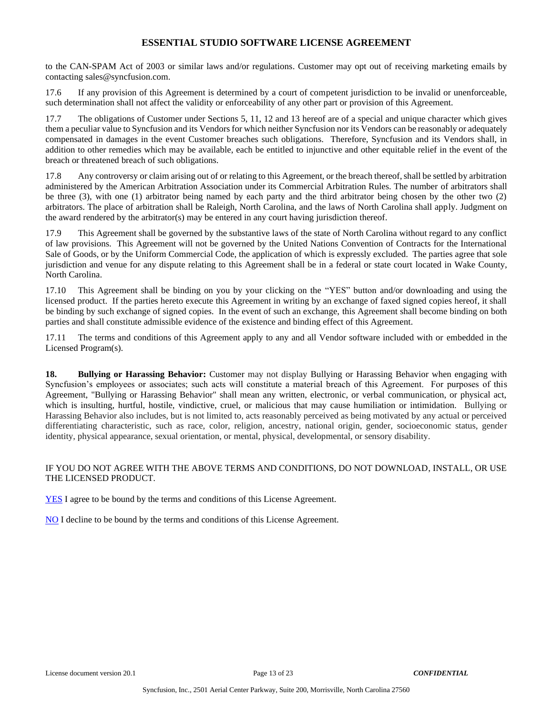to the CAN-SPAM Act of 2003 or similar laws and/or regulations. Customer may opt out of receiving marketing emails by contacting sales@syncfusion.com.

17.6 If any provision of this Agreement is determined by a court of competent jurisdiction to be invalid or unenforceable, such determination shall not affect the validity or enforceability of any other part or provision of this Agreement.

17.7 The obligations of Customer under Sections 5, 11, 12 and 13 hereof are of a special and unique character which gives them a peculiar value to Syncfusion and its Vendors for which neither Syncfusion nor its Vendors can be reasonably or adequately compensated in damages in the event Customer breaches such obligations. Therefore, Syncfusion and its Vendors shall, in addition to other remedies which may be available, each be entitled to injunctive and other equitable relief in the event of the breach or threatened breach of such obligations.

17.8 Any controversy or claim arising out of or relating to this Agreement, or the breach thereof, shall be settled by arbitration administered by the American Arbitration Association under its Commercial Arbitration Rules. The number of arbitrators shall be three (3), with one (1) arbitrator being named by each party and the third arbitrator being chosen by the other two (2) arbitrators. The place of arbitration shall be Raleigh, North Carolina, and the laws of North Carolina shall apply. Judgment on the award rendered by the arbitrator(s) may be entered in any court having jurisdiction thereof.

17.9 This Agreement shall be governed by the substantive laws of the state of North Carolina without regard to any conflict of law provisions. This Agreement will not be governed by the United Nations Convention of Contracts for the International Sale of Goods, or by the Uniform Commercial Code, the application of which is expressly excluded. The parties agree that sole jurisdiction and venue for any dispute relating to this Agreement shall be in a federal or state court located in Wake County, North Carolina.

17.10 This Agreement shall be binding on you by your clicking on the "YES" button and/or downloading and using the licensed product. If the parties hereto execute this Agreement in writing by an exchange of faxed signed copies hereof, it shall be binding by such exchange of signed copies. In the event of such an exchange, this Agreement shall become binding on both parties and shall constitute admissible evidence of the existence and binding effect of this Agreement.

17.11 The terms and conditions of this Agreement apply to any and all Vendor software included with or embedded in the Licensed Program(s).

**18. Bullying or Harassing Behavior:** Customer may not display Bullying or Harassing Behavior when engaging with Syncfusion's employees or associates; such acts will constitute a material breach of this Agreement. For purposes of this Agreement, "Bullying or Harassing Behavior" shall mean any written, electronic, or verbal communication, or physical act, which is insulting, hurtful, hostile, vindictive, cruel, or malicious that may cause humiliation or intimidation. Bullying or Harassing Behavior also includes, but is not limited to, acts reasonably perceived as being motivated by any actual or perceived differentiating characteristic, such as race, color, religion, ancestry, national origin, gender, socioeconomic status, gender identity, physical appearance, sexual orientation, or mental, physical, developmental, or sensory disability.

#### IF YOU DO NOT AGREE WITH THE ABOVE TERMS AND CONDITIONS, DO NOT DOWNLOAD, INSTALL, OR USE THE LICENSED PRODUCT.

YES I agree to be bound by the terms and conditions of this License Agreement.

NO I decline to be bound by the terms and conditions of this License Agreement.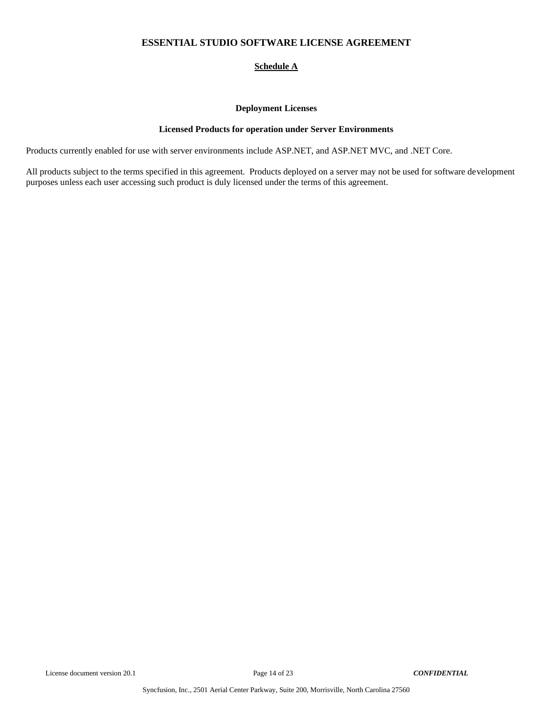## **Schedule A**

#### **Deployment Licenses**

#### **Licensed Products for operation under Server Environments**

Products currently enabled for use with server environments include ASP.NET, and ASP.NET MVC, and .NET Core.

All products subject to the terms specified in this agreement. Products deployed on a server may not be used for software development purposes unless each user accessing such product is duly licensed under the terms of this agreement.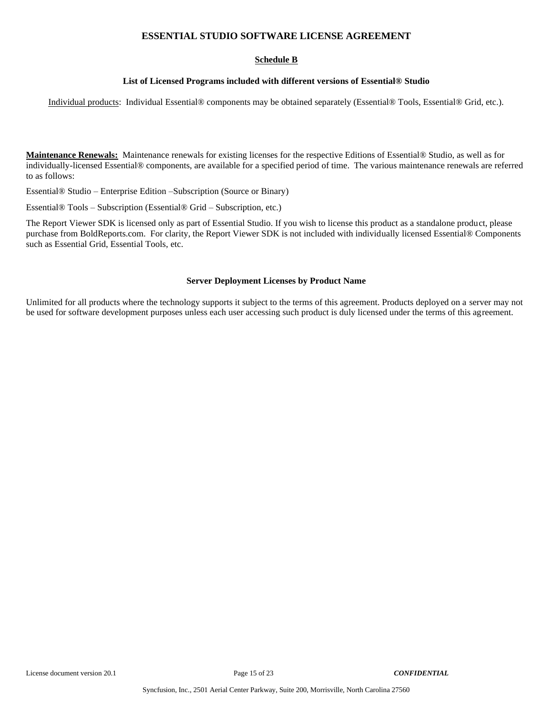### **Schedule B**

#### **List of Licensed Programs included with different versions of Essential® Studio**

Individual products: Individual Essential® components may be obtained separately (Essential® Tools, Essential® Grid, etc.).

**Maintenance Renewals:** Maintenance renewals for existing licenses for the respective Editions of Essential® Studio, as well as for individually-licensed Essential® components, are available for a specified period of time. The various maintenance renewals are referred to as follows:

Essential® Studio – Enterprise Edition –Subscription (Source or Binary)

Essential® Tools – Subscription (Essential® Grid – Subscription, etc.)

The Report Viewer SDK is licensed only as part of Essential Studio. If you wish to license this product as a standalone product, please purchase from BoldReports.com. For clarity, the Report Viewer SDK is not included with individually licensed Essential® Components such as Essential Grid, Essential Tools, etc.

#### **Server Deployment Licenses by Product Name**

Unlimited for all products where the technology supports it subject to the terms of this agreement. Products deployed on a server may not be used for software development purposes unless each user accessing such product is duly licensed under the terms of this agreement.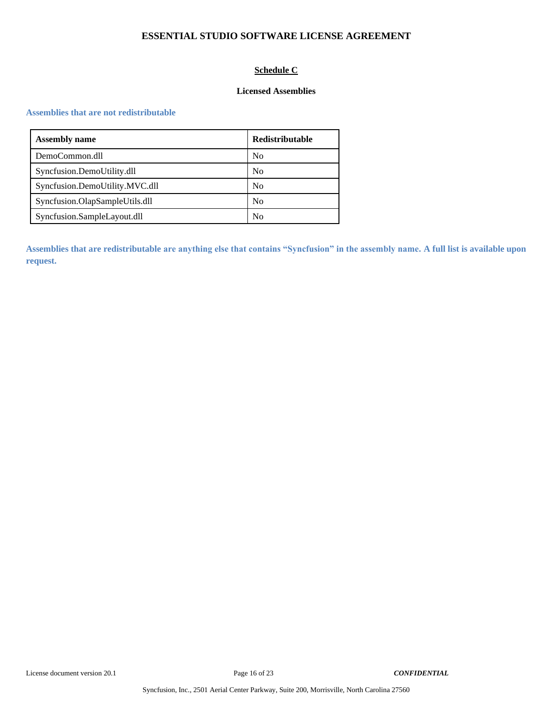# **Schedule C**

### **Licensed Assemblies**

#### **Assemblies that are not redistributable**

| <b>Assembly name</b>           | <b>Redistributable</b> |
|--------------------------------|------------------------|
| DemoCommon.dll                 | N <sub>0</sub>         |
| Syncfusion.DemoUtility.dll     | N <sub>0</sub>         |
| Syncfusion.DemoUtility.MVC.dll | N <sub>0</sub>         |
| Syncfusion.OlapSampleUtils.dll | N <sub>0</sub>         |
| Syncfusion.SampleLayout.dll    | N <sub>0</sub>         |

**Assemblies that are redistributable are anything else that contains "Syncfusion" in the assembly name. A full list is available upon request.**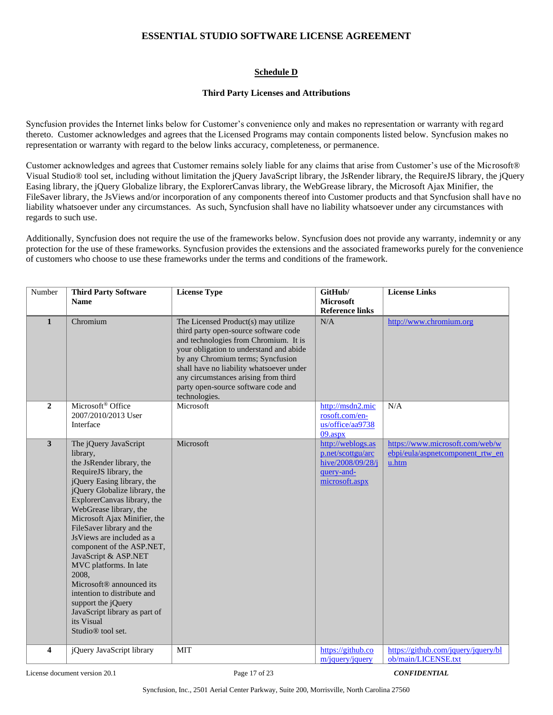### **Schedule D**

#### **Third Party Licenses and Attributions**

Syncfusion provides the Internet links below for Customer's convenience only and makes no representation or warranty with regard thereto. Customer acknowledges and agrees that the Licensed Programs may contain components listed below. Syncfusion makes no representation or warranty with regard to the below links accuracy, completeness, or permanence.

Customer acknowledges and agrees that Customer remains solely liable for any claims that arise from Customer's use of the Microsoft® Visual Studio® tool set, including without limitation the jQuery JavaScript library, the JsRender library, the RequireJS library, the jQuery Easing library, the jQuery Globalize library, the ExplorerCanvas library, the WebGrease library, the Microsoft Ajax Minifier, the FileSaver library, the JsViews and/or incorporation of any components thereof into Customer products and that Syncfusion shall have no liability whatsoever under any circumstances. As such, Syncfusion shall have no liability whatsoever under any circumstances with regards to such use.

Additionally, Syncfusion does not require the use of the frameworks below. Syncfusion does not provide any warranty, indemnity or any protection for the use of these frameworks. Syncfusion provides the extensions and the associated frameworks purely for the convenience of customers who choose to use these frameworks under the terms and conditions of the framework.

| Number                  | <b>Third Party Software</b>                                                                                                                                                                                                                                                                                                                                                                                                                                                                                                                                                     | <b>License Type</b>                                                                                                                                                                                                                                                                                                                               | GitHub/                                                                                     | <b>License Links</b>                                                         |
|-------------------------|---------------------------------------------------------------------------------------------------------------------------------------------------------------------------------------------------------------------------------------------------------------------------------------------------------------------------------------------------------------------------------------------------------------------------------------------------------------------------------------------------------------------------------------------------------------------------------|---------------------------------------------------------------------------------------------------------------------------------------------------------------------------------------------------------------------------------------------------------------------------------------------------------------------------------------------------|---------------------------------------------------------------------------------------------|------------------------------------------------------------------------------|
|                         | <b>Name</b>                                                                                                                                                                                                                                                                                                                                                                                                                                                                                                                                                                     |                                                                                                                                                                                                                                                                                                                                                   | <b>Microsoft</b><br><b>Reference links</b>                                                  |                                                                              |
| $\mathbf{1}$            | Chromium                                                                                                                                                                                                                                                                                                                                                                                                                                                                                                                                                                        | The Licensed Product(s) may utilize<br>third party open-source software code<br>and technologies from Chromium. It is<br>your obligation to understand and abide<br>by any Chromium terms; Syncfusion<br>shall have no liability whatsoever under<br>any circumstances arising from third<br>party open-source software code and<br>technologies. | N/A                                                                                         | http://www.chromium.org                                                      |
| $\boldsymbol{2}$        | Microsoft® Office<br>2007/2010/2013 User<br>Interface                                                                                                                                                                                                                                                                                                                                                                                                                                                                                                                           | Microsoft                                                                                                                                                                                                                                                                                                                                         | http://msdn2.mic<br>rosoft.com/en-<br>us/office/aa9738<br>$09.$ aspx                        | N/A                                                                          |
| $\overline{\mathbf{3}}$ | The jQuery JavaScript<br>library,<br>the JsRender library, the<br>RequireJS library, the<br>jQuery Easing library, the<br>jQuery Globalize library, the<br>ExplorerCanvas library, the<br>WebGrease library, the<br>Microsoft Ajax Minifier, the<br>FileSaver library and the<br>JsViews are included as a<br>component of the ASP.NET,<br>JavaScript & ASP.NET<br>MVC platforms. In late<br>2008,<br>Microsoft <sup>®</sup> announced its<br>intention to distribute and<br>support the jQuery<br>JavaScript library as part of<br>its Visual<br>Studio <sup>®</sup> tool set. | Microsoft                                                                                                                                                                                                                                                                                                                                         | http://weblogs.as<br>p.net/scottgu/arc<br>hive/2008/09/28/j<br>query-and-<br>microsoft.aspx | https://www.microsoft.com/web/w<br>ebpi/eula/aspnetcomponent_rtw_en<br>u.htm |
| $\overline{\mathbf{4}}$ | jQuery JavaScript library                                                                                                                                                                                                                                                                                                                                                                                                                                                                                                                                                       | <b>MIT</b>                                                                                                                                                                                                                                                                                                                                        | https://github.co<br>m/jquery/jquery                                                        | https://github.com/jquery/jquery/bl<br>ob/main/LICENSE.txt                   |

License document version 20.1 Page 17 of 23 *CONFIDENTIAL*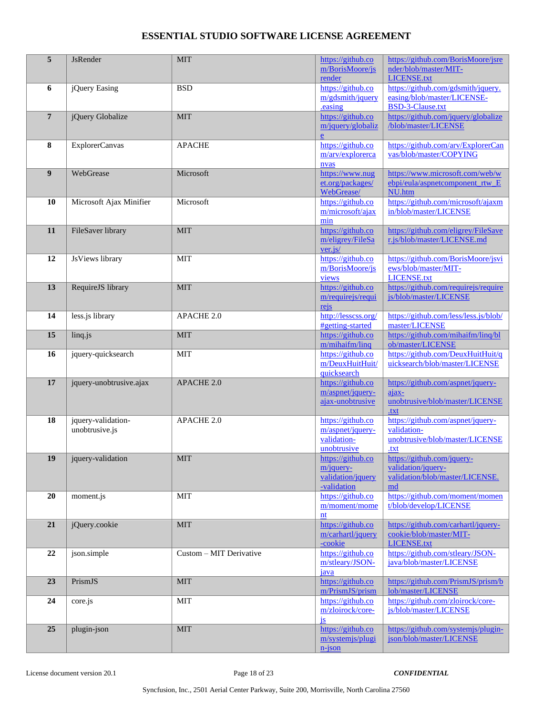| 5              | <b>JsRender</b>                      | <b>MIT</b>              | https://github.co<br>m/BorisMoore/js<br>render                        | https://github.com/BorisMoore/jsre<br>nder/blob/master/MIT-<br><b>LICENSE.txt</b>                |
|----------------|--------------------------------------|-------------------------|-----------------------------------------------------------------------|--------------------------------------------------------------------------------------------------|
| 6              | jQuery Easing                        | <b>BSD</b>              | https://github.co<br>m/gdsmith/jquery<br>.easing                      | https://github.com/gdsmith/jquery.<br>easing/blob/master/LICENSE-<br><b>BSD-3-Clause.txt</b>     |
| $\overline{7}$ | jQuery Globalize                     | <b>MIT</b>              | https://github.co<br>m/jquery/globaliz<br>e                           | https://github.com/jquery/globalize<br>/blob/master/LICENSE                                      |
| 8              | ExplorerCanvas                       | <b>APACHE</b>           | https://github.co<br>m/arv/explorerca<br>nvas                         | https://github.com/arv/ExplorerCan<br>vas/blob/master/COPYING                                    |
| 9              | WebGrease                            | Microsoft               | https://www.nug<br>et.org/packages/<br>WebGrease/                     | https://www.microsoft.com/web/w<br>ebpi/eula/aspnetcomponent_rtw_E<br>NU.htm                     |
| 10             | Microsoft Ajax Minifier              | Microsoft               | https://github.co<br>m/microsoft/ajax<br>min                          | https://github.com/microsoft/ajaxm<br>in/blob/master/LICENSE                                     |
| 11             | FileSaver library                    | <b>MIT</b>              | https://github.co<br>m/eligrey/FileSa<br>ver.js/                      | https://github.com/eligrey/FileSave<br>r.js/blob/master/LICENSE.md                               |
| 12             | JsViews library                      | <b>MIT</b>              | https://github.co<br>m/BorisMoore/js<br>views                         | https://github.com/BorisMoore/jsvi<br>ews/blob/master/MIT-<br>LICENSE.txt                        |
| 13             | RequireJS library                    | <b>MIT</b>              | https://github.co<br>m/requirejs/requi<br>rejs                        | https://github.com/requirejs/require<br>js/blob/master/LICENSE                                   |
| 14             | less.js library                      | APACHE 2.0              | http://lesscss.org/<br>#getting-started                               | https://github.com/less/less.js/blob/<br>master/LICENSE                                          |
| 15             | linq.js                              | <b>MIT</b>              | https://github.co<br>m/mihaifm/linq                                   | https://github.com/mihaifm/linq/bl<br>ob/master/LICENSE                                          |
| 16             | jquery-quicksearch                   | <b>MIT</b>              | https://github.co<br>m/DeuxHuitHuit/<br>quicksearch                   | https://github.com/DeuxHuitHuit/q<br>uicksearch/blob/master/LICENSE                              |
| 17             | jquery-unobtrusive.ajax              | APACHE 2.0              | https://github.co<br>m/aspnet/jquery-<br>ajax-unobtrusive             | https://github.com/aspnet/jquery-<br>$a$ <i>jax</i> -<br>unobtrusive/blob/master/LICENSE<br>.txt |
| 18             | jquery-validation-<br>unobtrusive.js | APACHE 2.0              | https://github.co<br>m/aspnet/jquery-<br>validation-<br>unobtrusive   | https://github.com/aspnet/jquery-<br>validation-<br>unobtrusive/blob/master/LICENSE<br>.txt      |
| 19             | jquery-validation                    | <b>MIT</b>              | https://github.co<br>$m$ /jquery-<br>validation/jquery<br>-validation | https://github.com/jquery-<br>validation/jquery-<br>validation/blob/master/LICENSE.<br>md        |
| 20             | moment.js                            | <b>MIT</b>              | https://github.co<br>m/moment/mome<br>nt                              | https://github.com/moment/momen<br>t/blob/develop/LICENSE                                        |
| 21             | jQuery.cookie                        | <b>MIT</b>              | https://github.co<br>m/carhartl/jquery<br>-cookie                     | https://github.com/carhartl/jquery-<br>cookie/blob/master/MIT-<br><b>LICENSE.txt</b>             |
| $\bf{22}$      | json.simple                          | Custom - MIT Derivative | https://github.co<br>m/stleary/JSON-<br>java                          | https://github.com/stleary/JSON-<br>java/blob/master/LICENSE                                     |
| 23             | PrismJS                              | <b>MIT</b>              | https://github.co<br>m/PrismJS/prism                                  | https://github.com/PrismJS/prism/b<br>lob/master/LICENSE                                         |
| 24             | core.js                              | MIT                     | https://github.co<br>m/zloirock/core-<br>i <sub>s</sub>               | https://github.com/zloirock/core-<br>js/blob/master/LICENSE                                      |
| 25             | plugin-json                          | <b>MIT</b>              | https://github.co<br>m/systemjs/plugi<br>$n$ -json                    | https://github.com/systemjs/plugin-<br>json/blob/master/LICENSE                                  |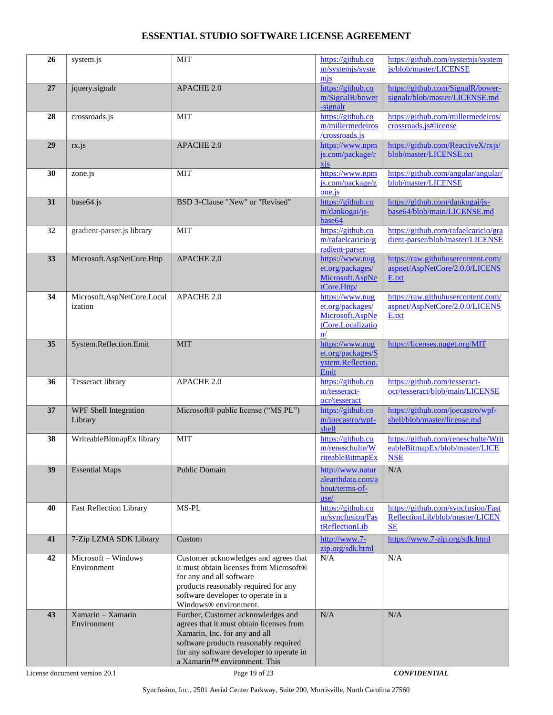| 26 | system.js                             | <b>MIT</b>                                                                                                                                                                                                                           | https://github.co<br>m/systemjs/syste<br>mis                                      | https://github.com/systemjs/system<br>js/blob/master/LICENSE                        |
|----|---------------------------------------|--------------------------------------------------------------------------------------------------------------------------------------------------------------------------------------------------------------------------------------|-----------------------------------------------------------------------------------|-------------------------------------------------------------------------------------|
| 27 | jquery.signalr                        | APACHE 2.0                                                                                                                                                                                                                           | https://github.co<br>m/SignalR/bower<br>-signalr                                  | https://github.com/SignalR/bower-<br>signalr/blob/master/LICENSE.md                 |
| 28 | crossroads.is                         | <b>MIT</b>                                                                                                                                                                                                                           | https://github.co<br>m/millermedeiros<br>/crossroads.js                           | https://github.com/millermedeiros/<br>crossroads.js#license                         |
| 29 | rx.js                                 | <b>APACHE 2.0</b>                                                                                                                                                                                                                    | https://www.npm<br>js.com/package/r<br>xis                                        | https://github.com/ReactiveX/rxjs/<br>blob/master/LICENSE.txt                       |
| 30 | zone.js                               | <b>MIT</b>                                                                                                                                                                                                                           | https://www.npm<br>js.com/package/z<br>one.js                                     | https://github.com/angular/angular/<br>blob/master/LICENSE                          |
| 31 | base64.js                             | BSD 3-Clause "New" or "Revised"                                                                                                                                                                                                      | https://github.co<br>m/dankogai/js-<br>base64                                     | https://github.com/dankogai/js-<br>base64/blob/main/LICENSE.md                      |
| 32 | gradient-parser.js library            | <b>MIT</b>                                                                                                                                                                                                                           | https://github.co<br>m/rafaelcaricio/g<br>radient-parser                          | https://github.com/rafaelcaricio/gra<br>dient-parser/blob/master/LICENSE            |
| 33 | Microsoft.AspNetCore.Http             | <b>APACHE 2.0</b>                                                                                                                                                                                                                    | https://www.nug<br>et.org/packages/<br>Microsoft.AspNe<br>tCore.Http/             | https://raw.githubusercontent.com/<br>aspnet/AspNetCore/2.0.0/LICENS<br>E.txt       |
| 34 | Microsoft.AspNetCore.Local<br>ization | APACHE 2.0                                                                                                                                                                                                                           | https://www.nug<br>et.org/packages/<br>Microsoft.AspNe<br>tCore.Localizatio<br>n/ | https://raw.githubusercontent.com/<br>aspnet/AspNetCore/2.0.0/LICENS<br>E.txt       |
| 35 | System.Reflection.Emit                | <b>MIT</b>                                                                                                                                                                                                                           | https://www.nug<br>et.org/packages/S<br>ystem.Reflection.<br>Emit                 | https://licenses.nuget.org/MIT                                                      |
| 36 | <b>Tesseract library</b>              | APACHE 2.0                                                                                                                                                                                                                           | https://github.co<br>m/tesseract-<br>ocr/tesseract                                | https://github.com/tesseract-<br>ocr/tesseract/blob/main/LICENSE                    |
| 37 | WPF Shell Integration<br>Library      | Microsoft® public license ("MS PL")                                                                                                                                                                                                  | https://github.co<br>m/joecastro/wpf-<br>shell                                    | https://github.com/joecastro/wpf-<br>shell/blob/master/license.md                   |
| 38 | WriteableBitmapEx library             | <b>MIT</b>                                                                                                                                                                                                                           | https://github.co<br>m/reneschulte/W<br>riteableBitmapEx                          | https://github.com/reneschulte/Writ<br>eableBitmapEx/blob/master/LICE<br><b>NSE</b> |
| 39 | <b>Essential Maps</b>                 | Public Domain                                                                                                                                                                                                                        | http://www.natur<br>alearthdata.com/a<br>bout/terms-of-<br>use/                   | N/A                                                                                 |
| 40 | <b>Fast Reflection Library</b>        | MS-PL                                                                                                                                                                                                                                | https://github.co<br>m/syncfusion/Fas<br>tReflectionLib                           | https://github.com/syncfusion/Fast<br>ReflectionLib/blob/master/LICEN<br>SE         |
| 41 | 7-Zip LZMA SDK Library                | Custom                                                                                                                                                                                                                               | http://www.7-<br>zip.org/sdk.html                                                 | https://www.7-zip.org/sdk.html                                                      |
| 42 | Microsoft - Windows<br>Environment    | Customer acknowledges and agrees that<br>it must obtain licenses from Microsoft®<br>for any and all software<br>products reasonably required for any<br>software developer to operate in a<br>Windows® environment.                  | N/A                                                                               | N/A                                                                                 |
| 43 | $Xamarin - Xamarin$<br>Environment    | Further, Customer acknowledges and<br>agrees that it must obtain licenses from<br>Xamarin, Inc. for any and all<br>software products reasonably required<br>for any software developer to operate in<br>a Xamarin™ environment. This | N/A                                                                               | N/A                                                                                 |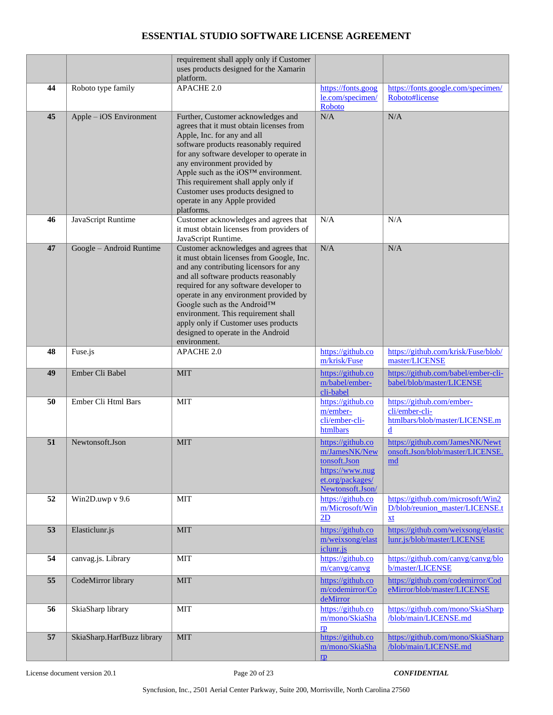|    |                            | requirement shall apply only if Customer<br>uses products designed for the Xamarin<br>platform.                                                                                                                                                                                                                                                                                                                              |                                                                                                               |                                                                                                          |
|----|----------------------------|------------------------------------------------------------------------------------------------------------------------------------------------------------------------------------------------------------------------------------------------------------------------------------------------------------------------------------------------------------------------------------------------------------------------------|---------------------------------------------------------------------------------------------------------------|----------------------------------------------------------------------------------------------------------|
| 44 | Roboto type family         | APACHE 2.0                                                                                                                                                                                                                                                                                                                                                                                                                   | https://fonts.goog<br>le.com/specimen/<br>Roboto                                                              | https://fonts.google.com/specimen/<br>Roboto#license                                                     |
| 45 | Apple – iOS Environment    | Further, Customer acknowledges and<br>agrees that it must obtain licenses from<br>Apple, Inc. for any and all<br>software products reasonably required<br>for any software developer to operate in<br>any environment provided by<br>Apple such as the iOS™ environment.<br>This requirement shall apply only if<br>Customer uses products designed to<br>operate in any Apple provided<br>platforms.                        | N/A                                                                                                           | $\rm N/A$                                                                                                |
| 46 | JavaScript Runtime         | Customer acknowledges and agrees that<br>it must obtain licenses from providers of<br>JavaScript Runtime.                                                                                                                                                                                                                                                                                                                    | N/A                                                                                                           | N/A                                                                                                      |
| 47 | Google - Android Runtime   | Customer acknowledges and agrees that<br>it must obtain licenses from Google, Inc.<br>and any contributing licensors for any<br>and all software products reasonably<br>required for any software developer to<br>operate in any environment provided by<br>Google such as the Android™<br>environment. This requirement shall<br>apply only if Customer uses products<br>designed to operate in the Android<br>environment. | N/A                                                                                                           | N/A                                                                                                      |
| 48 | Fuse.js                    | <b>APACHE 2.0</b>                                                                                                                                                                                                                                                                                                                                                                                                            | https://github.co<br>m/krisk/Fuse                                                                             | https://github.com/krisk/Fuse/blob/<br>master/LICENSE                                                    |
| 49 | Ember Cli Babel            | <b>MIT</b>                                                                                                                                                                                                                                                                                                                                                                                                                   | https://github.co<br>m/babel/ember-<br>cli-babel                                                              | https://github.com/babel/ember-cli-<br>babel/blob/master/LICENSE                                         |
| 50 | Ember Cli Html Bars        | <b>MIT</b>                                                                                                                                                                                                                                                                                                                                                                                                                   | https://github.co<br>m/ember-<br>cli/ember-cli-<br>htmlbars                                                   | https://github.com/ember-<br>cli/ember-cli-<br>htmlbars/blob/master/LICENSE.m<br>$\overline{\mathbf{d}}$ |
| 51 | Newtonsoft.Json            | <b>MIT</b>                                                                                                                                                                                                                                                                                                                                                                                                                   | https://github.co<br>m/JamesNK/New<br>tonsoft.Json<br>https://www.nug<br>et.org/packages/<br>Newtonsoft.Json/ | https://github.com/JamesNK/Newt<br>onsoft.Json/blob/master/LICENSE.<br>md                                |
| 52 | Win2D.uwp v 9.6            | <b>MIT</b>                                                                                                                                                                                                                                                                                                                                                                                                                   | https://github.co<br>m/Microsoft/Win<br>2D                                                                    | https://github.com/microsoft/Win2<br>D/blob/reunion_master/LICENSE.t<br>xt                               |
| 53 | Elasticlunr.js             | <b>MIT</b>                                                                                                                                                                                                                                                                                                                                                                                                                   | https://github.co<br>m/weixsong/elast<br>iclunr.js                                                            | https://github.com/weixsong/elastic<br>lunr.js/blob/master/LICENSE                                       |
| 54 | canvag.js. Library         | <b>MIT</b>                                                                                                                                                                                                                                                                                                                                                                                                                   | https://github.co<br>m/canvg/canvg                                                                            | https://github.com/canvg/canvg/blo<br>b/master/LICENSE                                                   |
| 55 | CodeMirror library         | <b>MIT</b>                                                                                                                                                                                                                                                                                                                                                                                                                   | https://github.co<br>m/codemirror/Co<br>deMirror                                                              | https://github.com/codemirror/Cod<br>eMirror/blob/master/LICENSE                                         |
| 56 | SkiaSharp library          | MIT                                                                                                                                                                                                                                                                                                                                                                                                                          | https://github.co<br>m/mono/SkiaSha<br>$\mathbf{r}$                                                           | https://github.com/mono/SkiaSharp<br>/blob/main/LICENSE.md                                               |
| 57 | SkiaSharp.HarfBuzz library | <b>MIT</b>                                                                                                                                                                                                                                                                                                                                                                                                                   | https://github.co<br>m/mono/SkiaSha<br>$\mathbf{p}$                                                           | https://github.com/mono/SkiaSharp<br>/blob/main/LICENSE.md                                               |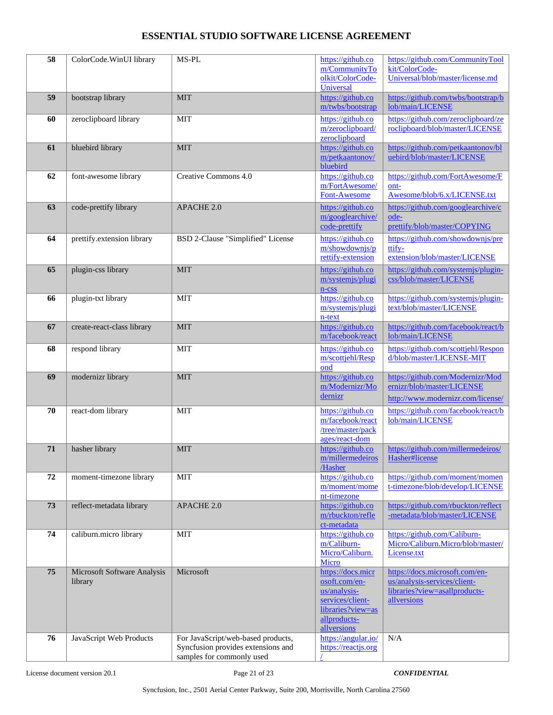| 58 | ColorCode.WinUI library                | MS-PL                                                                                                 | https://github.co<br>m/CommunityTo<br>olkit/ColorCode-                                                                     | https://github.com/CommunityTool<br>kit/ColorCode-<br>Universal/blob/master/license.md                         |
|----|----------------------------------------|-------------------------------------------------------------------------------------------------------|----------------------------------------------------------------------------------------------------------------------------|----------------------------------------------------------------------------------------------------------------|
|    |                                        |                                                                                                       | Universal                                                                                                                  |                                                                                                                |
| 59 | bootstrap library                      | <b>MIT</b>                                                                                            | https://github.co<br>m/twbs/bootstrap                                                                                      | https://github.com/twbs/bootstrap/b<br>lob/main/LICENSE                                                        |
| 60 | zeroclipboard library                  | <b>MIT</b>                                                                                            | https://github.co<br>m/zeroclipboard/<br>zeroclipboard                                                                     | https://github.com/zeroclipboard/ze<br>roclipboard/blob/master/LICENSE                                         |
| 61 | bluebird library                       | <b>MIT</b>                                                                                            | https://github.co<br>m/petkaantonov/<br>bluebird                                                                           | https://github.com/petkaantonov/bl<br>uebird/blob/master/LICENSE                                               |
| 62 | font-awesome library                   | Creative Commons 4.0                                                                                  | https://github.co<br>m/FortAwesome/<br>Font-Awesome                                                                        | https://github.com/FortAwesome/F<br>ont-<br>Awesome/blob/6.x/LICENSE.txt                                       |
| 63 | code-prettify library                  | APACHE 2.0                                                                                            | https://github.co<br>m/googlearchive/<br>code-prettify                                                                     | https://github.com/googlearchive/c<br>ode-<br>prettify/blob/master/COPYING                                     |
| 64 | prettify.extension library             | BSD 2-Clause "Simplified" License                                                                     | https://github.co<br>m/showdownjs/p<br>rettify-extension                                                                   | https://github.com/showdownjs/pre<br>ttify-<br>extension/blob/master/LICENSE                                   |
| 65 | plugin-css library                     | <b>MIT</b>                                                                                            | https://github.co<br>m/systemjs/plugi<br>$n$ - $\csc$                                                                      | https://github.com/systemjs/plugin-<br>css/blob/master/LICENSE                                                 |
| 66 | plugin-txt library                     | <b>MIT</b>                                                                                            | https://github.co<br>m/systemjs/plugi<br>n-text                                                                            | https://github.com/systemjs/plugin-<br>text/blob/master/LICENSE                                                |
| 67 | create-react-class library             | <b>MIT</b>                                                                                            | https://github.co<br>m/facebook/react                                                                                      | https://github.com/facebook/react/b<br>lob/main/LICENSE                                                        |
| 68 | respond library                        | <b>MIT</b>                                                                                            | https://github.co<br>m/scottjehl/Resp<br>ond                                                                               | https://github.com/scottjehl/Respon<br>d/blob/master/LICENSE-MIT                                               |
| 69 | modernizr library                      | <b>MIT</b>                                                                                            | https://github.co<br>m/Modernizr/Mo<br>dernizr                                                                             | https://github.com/Modernizr/Mod<br>ernizr/blob/master/LICENSE<br>http://www.modernizr.com/license/            |
| 70 | react-dom library                      | <b>MIT</b>                                                                                            | https://github.co<br>m/facebook/react<br>/tree/master/pack<br>ages/react-dom                                               | https://github.com/facebook/react/b<br>lob/main/LICENSE                                                        |
| 71 | hasher library                         | <b>MIT</b>                                                                                            | https://github.co<br>m/millermedeiros<br>/Hasher                                                                           | https://github.com/millermedeiros/<br>Hasher#license                                                           |
| 72 | moment-timezone library                | <b>MIT</b>                                                                                            | https://github.co<br>m/moment/mome<br>nt-timezone                                                                          | https://github.com/moment/momen<br>t-timezone/blob/develop/LICENSE                                             |
| 73 | reflect-metadata library               | APACHE 2.0                                                                                            | https://github.co<br>m/rbuckton/refle<br>ct-metadata                                                                       | https://github.com/rbuckton/reflect<br>-metadata/blob/master/LICENSE                                           |
| 74 | caliburn.micro library                 | <b>MIT</b>                                                                                            | https://github.co<br>m/Caliburn-<br>Micro/Caliburn.<br>Micro                                                               | https://github.com/Caliburn-<br>Micro/Caliburn.Micro/blob/master/<br>License.txt                               |
| 75 | Microsoft Software Analysis<br>library | Microsoft                                                                                             | https://docs.micr<br>osoft.com/en-<br>us/analysis-<br>services/client-<br>libraries?view=as<br>allproducts-<br>allversions | https://docs.microsoft.com/en-<br>us/analysis-services/client-<br>libraries?view=asallproducts-<br>allversions |
| 76 | JavaScript Web Products                | For JavaScript/web-based products,<br>Syncfusion provides extensions and<br>samples for commonly used | https://angular.io/<br>https://reactjs.org                                                                                 | N/A                                                                                                            |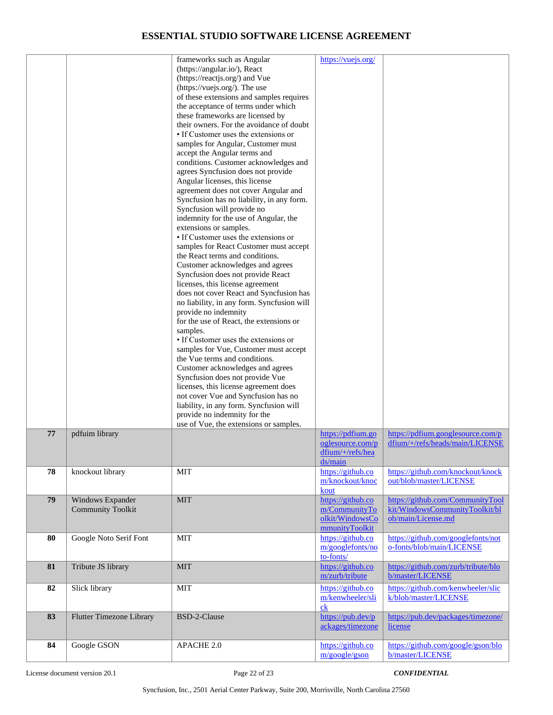|    |                                              | frameworks such as Angular<br>(https://angular.io/), React<br>(https://reactjs.org/) and Vue<br>(https://vuejs.org/). The use<br>of these extensions and samples requires<br>the acceptance of terms under which<br>these frameworks are licensed by<br>their owners. For the avoidance of doubt<br>• If Customer uses the extensions or<br>samples for Angular, Customer must<br>accept the Angular terms and<br>conditions. Customer acknowledges and<br>agrees Syncfusion does not provide<br>Angular licenses, this license<br>agreement does not cover Angular and<br>Syncfusion has no liability, in any form.<br>Syncfusion will provide no<br>indemnity for the use of Angular, the<br>extensions or samples.<br>• If Customer uses the extensions or<br>samples for React Customer must accept<br>the React terms and conditions.<br>Customer acknowledges and agrees<br>Syncfusion does not provide React<br>licenses, this license agreement<br>does not cover React and Syncfusion has<br>no liability, in any form. Syncfusion will<br>provide no indemnity<br>for the use of React, the extensions or<br>samples.<br>• If Customer uses the extensions or<br>samples for Vue, Customer must accept<br>the Vue terms and conditions.<br>Customer acknowledges and agrees<br>Syncfusion does not provide Vue<br>licenses, this license agreement does<br>not cover Vue and Syncfusion has no<br>liability, in any form. Syncfusion will<br>provide no indemnity for the<br>use of Vue, the extensions or samples. | https://vuejs.org/                                                      |                                                                                          |
|----|----------------------------------------------|-------------------------------------------------------------------------------------------------------------------------------------------------------------------------------------------------------------------------------------------------------------------------------------------------------------------------------------------------------------------------------------------------------------------------------------------------------------------------------------------------------------------------------------------------------------------------------------------------------------------------------------------------------------------------------------------------------------------------------------------------------------------------------------------------------------------------------------------------------------------------------------------------------------------------------------------------------------------------------------------------------------------------------------------------------------------------------------------------------------------------------------------------------------------------------------------------------------------------------------------------------------------------------------------------------------------------------------------------------------------------------------------------------------------------------------------------------------------------------------------------------------------------------|-------------------------------------------------------------------------|------------------------------------------------------------------------------------------|
| 77 | pdfuim library                               |                                                                                                                                                                                                                                                                                                                                                                                                                                                                                                                                                                                                                                                                                                                                                                                                                                                                                                                                                                                                                                                                                                                                                                                                                                                                                                                                                                                                                                                                                                                               | https://pdfium.go<br>oglesource.com/p<br>$dfium/+/refs/hea$             | https://pdfium.googlesource.com/p<br>dfium/+/refs/heads/main/LICENSE                     |
| 78 | knockout library                             | <b>MIT</b>                                                                                                                                                                                                                                                                                                                                                                                                                                                                                                                                                                                                                                                                                                                                                                                                                                                                                                                                                                                                                                                                                                                                                                                                                                                                                                                                                                                                                                                                                                                    | ds/main<br>https://github.co<br>m/knockout/knoc<br>kout                 | https://github.com/knockout/knock<br>out/blob/master/LICENSE                             |
| 79 | Windows Expander<br><b>Community Toolkit</b> | <b>MIT</b>                                                                                                                                                                                                                                                                                                                                                                                                                                                                                                                                                                                                                                                                                                                                                                                                                                                                                                                                                                                                                                                                                                                                                                                                                                                                                                                                                                                                                                                                                                                    | https://github.co<br>m/CommunityTo<br>olkit/WindowsCo<br>mmunityToolkit | https://github.com/CommunityTool<br>kit/WindowsCommunityToolkit/bl<br>ob/main/License.md |
| 80 | Google Noto Serif Font                       | <b>MIT</b>                                                                                                                                                                                                                                                                                                                                                                                                                                                                                                                                                                                                                                                                                                                                                                                                                                                                                                                                                                                                                                                                                                                                                                                                                                                                                                                                                                                                                                                                                                                    | https://github.co<br>m/googlefonts/no<br>to-fonts/                      | https://github.com/googlefonts/not<br>o-fonts/blob/main/LICENSE                          |
| 81 | Tribute JS library                           | <b>MIT</b>                                                                                                                                                                                                                                                                                                                                                                                                                                                                                                                                                                                                                                                                                                                                                                                                                                                                                                                                                                                                                                                                                                                                                                                                                                                                                                                                                                                                                                                                                                                    | https://github.co<br>m/zurb/tribute                                     | https://github.com/zurb/tribute/blo<br>b/master/LICENSE                                  |
| 82 | Slick library                                | <b>MIT</b>                                                                                                                                                                                                                                                                                                                                                                                                                                                                                                                                                                                                                                                                                                                                                                                                                                                                                                                                                                                                                                                                                                                                                                                                                                                                                                                                                                                                                                                                                                                    | https://github.co<br>m/kenwheeler/sli<br>c <sub>k</sub>                 | https://github.com/kenwheeler/slic<br>k/blob/master/LICENSE                              |
| 83 | <b>Flutter Timezone Library</b>              | BSD-2-Clause                                                                                                                                                                                                                                                                                                                                                                                                                                                                                                                                                                                                                                                                                                                                                                                                                                                                                                                                                                                                                                                                                                                                                                                                                                                                                                                                                                                                                                                                                                                  | https://pub.dev/p<br>ackages/timezone                                   | https://pub.dev/packages/timezone/<br>license                                            |
| 84 | Google GSON                                  | APACHE 2.0                                                                                                                                                                                                                                                                                                                                                                                                                                                                                                                                                                                                                                                                                                                                                                                                                                                                                                                                                                                                                                                                                                                                                                                                                                                                                                                                                                                                                                                                                                                    | https://github.co<br>m/google/gson                                      | https://github.com/google/gson/blo<br>b/master/LICENSE                                   |